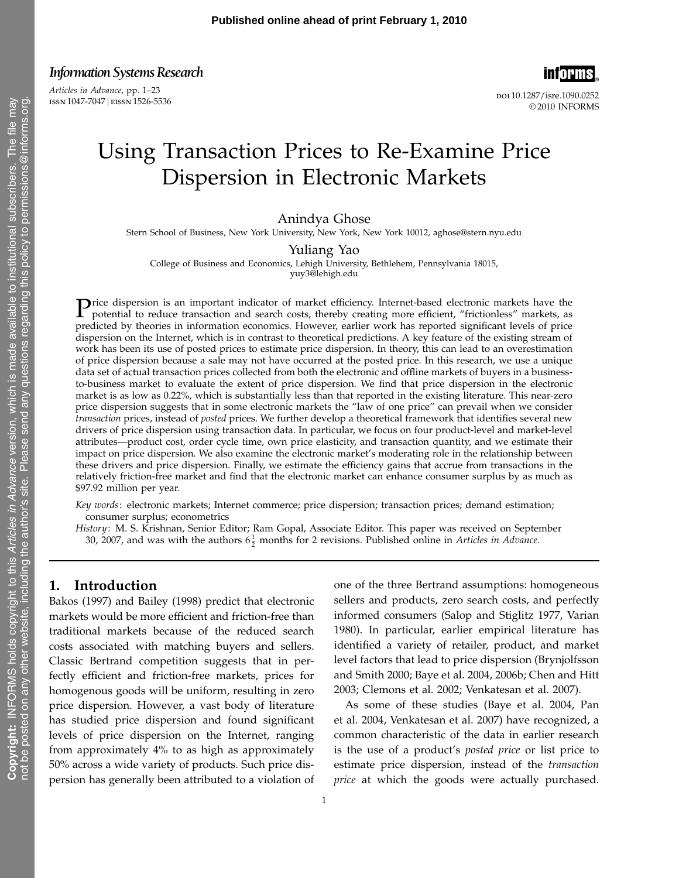Articles in Advance, pp. 1–23 ISSN 1047-7047 | EISSN 1526-5536



doi 10.1287/isre.1090.0252 © 2010 INFORMS

# Using Transaction Prices to Re-Examine Price Dispersion in Electronic Markets

Anindya Ghose

Stern School of Business, New York University, New York, New York 10012, aghose@stern.nyu.edu

Yuliang Yao

College of Business and Economics, Lehigh University, Bethlehem, Pennsylvania 18015, yuy3@lehigh.edu

Price dispersion is an important indicator of market efficiency. Internet-based electronic markets have the potential to reduce transaction and coards active the state of the state of the state of the state of the state of potential to reduce transaction and search costs, thereby creating more efficient, "frictionless" markets, as predicted by theories in information economics. However, earlier work has reported significant levels of price dispersion on the Internet, which is in contrast to theoretical predictions. A key feature of the existing stream of work has been its use of posted prices to estimate price dispersion. In theory, this can lead to an overestimation of price dispersion because a sale may not have occurred at the posted price. In this research, we use a unique data set of actual transaction prices collected from both the electronic and offline markets of buyers in a businessto-business market to evaluate the extent of price dispersion. We find that price dispersion in the electronic market is as low as 0.22%, which is substantially less than that reported in the existing literature. This near-zero price dispersion suggests that in some electronic markets the "law of one price" can prevail when we consider transaction prices, instead of posted prices. We further develop a theoretical framework that identifies several new drivers of price dispersion using transaction data. In particular, we focus on four product-level and market-level attributes—product cost, order cycle time, own price elasticity, and transaction quantity, and we estimate their impact on price dispersion. We also examine the electronic market's moderating role in the relationship between these drivers and price dispersion. Finally, we estimate the efficiency gains that accrue from transactions in the relatively friction-free market and find that the electronic market can enhance consumer surplus by as much as \$97.92 million per year.

Key words: electronic markets; Internet commerce; price dispersion; transaction prices; demand estimation; consumer surplus; econometrics

History: M. S. Krishnan, Senior Editor; Ram Gopal, Associate Editor. This paper was received on September 30, 2007, and was with the authors  $6\frac{1}{2}$  months for 2 revisions. Published online in *Articles in Advance*.

# 1. Introduction

Bakos (1997) and Bailey (1998) predict that electronic markets would be more efficient and friction-free than traditional markets because of the reduced search costs associated with matching buyers and sellers. Classic Bertrand competition suggests that in perfectly efficient and friction-free markets, prices for homogenous goods will be uniform, resulting in zero price dispersion. However, a vast body of literature has studied price dispersion and found significant levels of price dispersion on the Internet, ranging from approximately 4% to as high as approximately 50% across a wide variety of products. Such price dispersion has generally been attributed to a violation of one of the three Bertrand assumptions: homogeneous sellers and products, zero search costs, and perfectly informed consumers (Salop and Stiglitz 1977, Varian 1980). In particular, earlier empirical literature has identified a variety of retailer, product, and market level factors that lead to price dispersion (Brynjolfsson and Smith 2000; Baye et al. 2004, 2006b; Chen and Hitt 2003; Clemons et al. 2002; Venkatesan et al. 2007).

As some of these studies (Baye et al. 2004, Pan et al. 2004, Venkatesan et al. 2007) have recognized, a common characteristic of the data in earlier research is the use of a product's posted price or list price to estimate price dispersion, instead of the transaction price at which the goods were actually purchased.

 $\geq$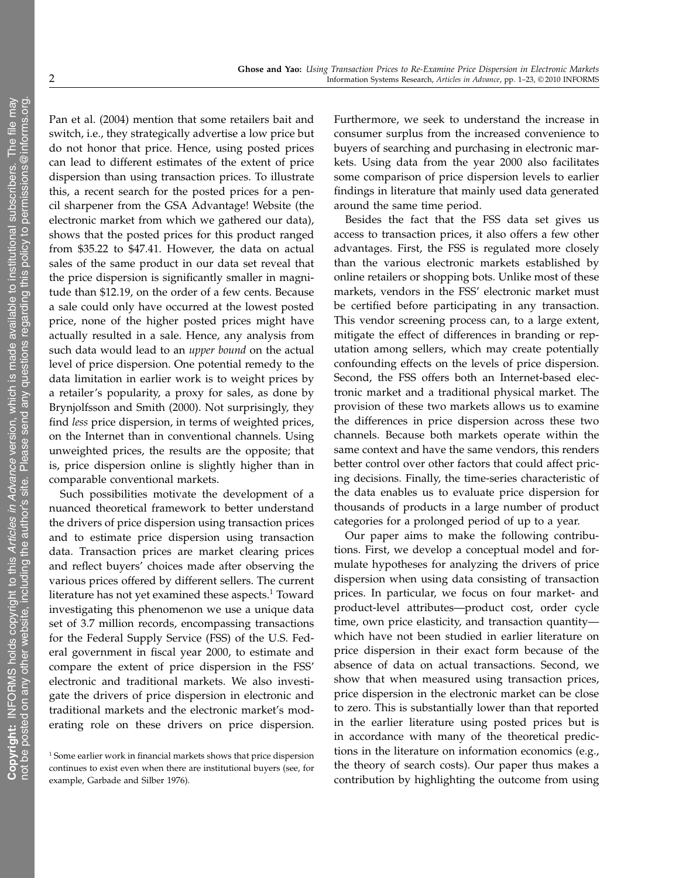Pan et al. (2004) mention that some retailers bait and switch, i.e., they strategically advertise a low price but do not honor that price. Hence, using posted prices can lead to different estimates of the extent of price dispersion than using transaction prices. To illustrate this, a recent search for the posted prices for a pencil sharpener from the GSA Advantage! Website (the electronic market from which we gathered our data), shows that the posted prices for this product ranged from \$35.22 to \$47.41. However, the data on actual sales of the same product in our data set reveal that the price dispersion is significantly smaller in magnitude than \$12.19, on the order of a few cents. Because a sale could only have occurred at the lowest posted price, none of the higher posted prices might have actually resulted in a sale. Hence, any analysis from such data would lead to an upper bound on the actual level of price dispersion. One potential remedy to the data limitation in earlier work is to weight prices by a retailer's popularity, a proxy for sales, as done by Brynjolfsson and Smith (2000). Not surprisingly, they find less price dispersion, in terms of weighted prices, on the Internet than in conventional channels. Using unweighted prices, the results are the opposite; that is, price dispersion online is slightly higher than in comparable conventional markets.

Such possibilities motivate the development of a nuanced theoretical framework to better understand the drivers of price dispersion using transaction prices and to estimate price dispersion using transaction data. Transaction prices are market clearing prices and reflect buyers' choices made after observing the various prices offered by different sellers. The current literature has not yet examined these aspects.<sup>1</sup> Toward investigating this phenomenon we use a unique data set of 3.7 million records, encompassing transactions for the Federal Supply Service (FSS) of the U.S. Federal government in fiscal year 2000, to estimate and compare the extent of price dispersion in the FSS' electronic and traditional markets. We also investigate the drivers of price dispersion in electronic and traditional markets and the electronic market's moderating role on these drivers on price dispersion.

Furthermore, we seek to understand the increase in consumer surplus from the increased convenience to buyers of searching and purchasing in electronic markets. Using data from the year 2000 also facilitates some comparison of price dispersion levels to earlier findings in literature that mainly used data generated around the same time period.

Besides the fact that the FSS data set gives us access to transaction prices, it also offers a few other advantages. First, the FSS is regulated more closely than the various electronic markets established by online retailers or shopping bots. Unlike most of these markets, vendors in the FSS' electronic market must be certified before participating in any transaction. This vendor screening process can, to a large extent, mitigate the effect of differences in branding or reputation among sellers, which may create potentially confounding effects on the levels of price dispersion. Second, the FSS offers both an Internet-based electronic market and a traditional physical market. The provision of these two markets allows us to examine the differences in price dispersion across these two channels. Because both markets operate within the same context and have the same vendors, this renders better control over other factors that could affect pricing decisions. Finally, the time-series characteristic of the data enables us to evaluate price dispersion for thousands of products in a large number of product categories for a prolonged period of up to a year.

Our paper aims to make the following contributions. First, we develop a conceptual model and formulate hypotheses for analyzing the drivers of price dispersion when using data consisting of transaction prices. In particular, we focus on four market- and product-level attributes—product cost, order cycle time, own price elasticity, and transaction quantity which have not been studied in earlier literature on price dispersion in their exact form because of the absence of data on actual transactions. Second, we show that when measured using transaction prices, price dispersion in the electronic market can be close to zero. This is substantially lower than that reported in the earlier literature using posted prices but is in accordance with many of the theoretical predictions in the literature on information economics (e.g., the theory of search costs). Our paper thus makes a contribution by highlighting the outcome from using

 $^{\rm 1}$  Some earlier work in financial markets shows that price dispersion continues to exist even when there are institutional buyers (see, for example, Garbade and Silber 1976).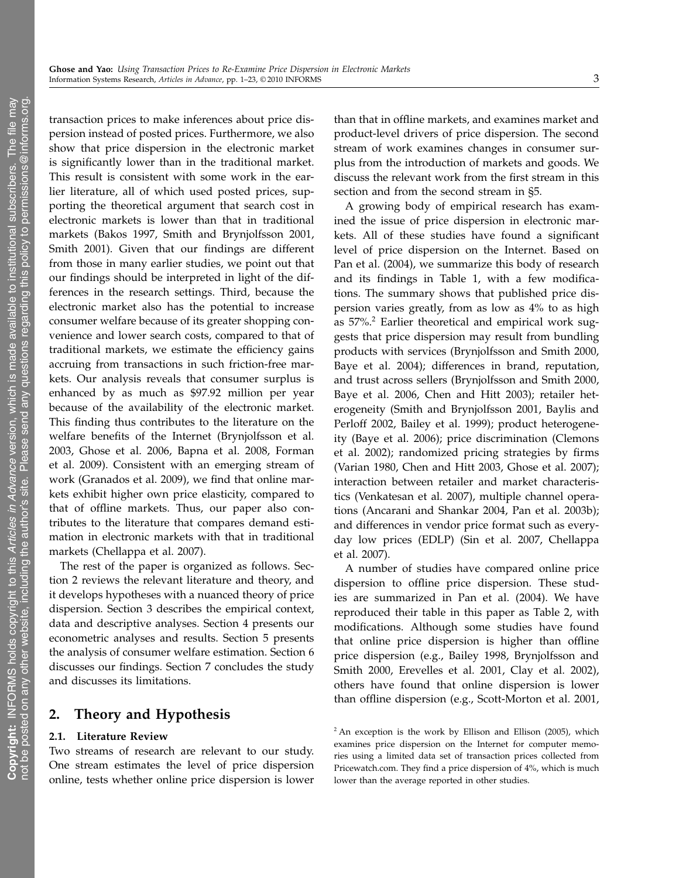transaction prices to make inferences about price dispersion instead of posted prices. Furthermore, we also show that price dispersion in the electronic market is significantly lower than in the traditional market. This result is consistent with some work in the earlier literature, all of which used posted prices, supporting the theoretical argument that search cost in electronic markets is lower than that in traditional markets (Bakos 1997, Smith and Brynjolfsson 2001, Smith 2001). Given that our findings are different from those in many earlier studies, we point out that our findings should be interpreted in light of the differences in the research settings. Third, because the electronic market also has the potential to increase consumer welfare because of its greater shopping convenience and lower search costs, compared to that of traditional markets, we estimate the efficiency gains accruing from transactions in such friction-free markets. Our analysis reveals that consumer surplus is enhanced by as much as \$97.92 million per year because of the availability of the electronic market. This finding thus contributes to the literature on the welfare benefits of the Internet (Brynjolfsson et al. 2003, Ghose et al. 2006, Bapna et al. 2008, Forman et al. 2009). Consistent with an emerging stream of work (Granados et al. 2009), we find that online markets exhibit higher own price elasticity, compared to that of offline markets. Thus, our paper also contributes to the literature that compares demand estimation in electronic markets with that in traditional markets (Chellappa et al. 2007).

The rest of the paper is organized as follows. Section 2 reviews the relevant literature and theory, and it develops hypotheses with a nuanced theory of price dispersion. Section 3 describes the empirical context, data and descriptive analyses. Section 4 presents our econometric analyses and results. Section 5 presents the analysis of consumer welfare estimation. Section 6 discusses our findings. Section 7 concludes the study and discusses its limitations.

# 2. Theory and Hypothesis

### 2.1. Literature Review

Two streams of research are relevant to our study. One stream estimates the level of price dispersion online, tests whether online price dispersion is lower

than that in offline markets, and examines market and product-level drivers of price dispersion. The second stream of work examines changes in consumer surplus from the introduction of markets and goods. We discuss the relevant work from the first stream in this section and from the second stream in §5.

A growing body of empirical research has examined the issue of price dispersion in electronic markets. All of these studies have found a significant level of price dispersion on the Internet. Based on Pan et al. (2004), we summarize this body of research and its findings in Table 1, with a few modifications. The summary shows that published price dispersion varies greatly, from as low as 4% to as high as  $57\%$ <sup>2</sup> Earlier theoretical and empirical work suggests that price dispersion may result from bundling products with services (Brynjolfsson and Smith 2000, Baye et al. 2004); differences in brand, reputation, and trust across sellers (Brynjolfsson and Smith 2000, Baye et al. 2006, Chen and Hitt 2003); retailer heterogeneity (Smith and Brynjolfsson 2001, Baylis and Perloff 2002, Bailey et al. 1999); product heterogeneity (Baye et al. 2006); price discrimination (Clemons et al. 2002); randomized pricing strategies by firms (Varian 1980, Chen and Hitt 2003, Ghose et al. 2007); interaction between retailer and market characteristics (Venkatesan et al. 2007), multiple channel operations (Ancarani and Shankar 2004, Pan et al. 2003b); and differences in vendor price format such as everyday low prices (EDLP) (Sin et al. 2007, Chellappa et al. 2007).

A number of studies have compared online price dispersion to offline price dispersion. These studies are summarized in Pan et al. (2004). We have reproduced their table in this paper as Table 2, with modifications. Although some studies have found that online price dispersion is higher than offline price dispersion (e.g., Bailey 1998, Brynjolfsson and Smith 2000, Erevelles et al. 2001, Clay et al. 2002), others have found that online dispersion is lower than offline dispersion (e.g., Scott-Morton et al. 2001,

 $2$  An exception is the work by Ellison and Ellison (2005), which examines price dispersion on the Internet for computer memories using a limited data set of transaction prices collected from Pricewatch.com. They find a price dispersion of 4%, which is much lower than the average reported in other studies.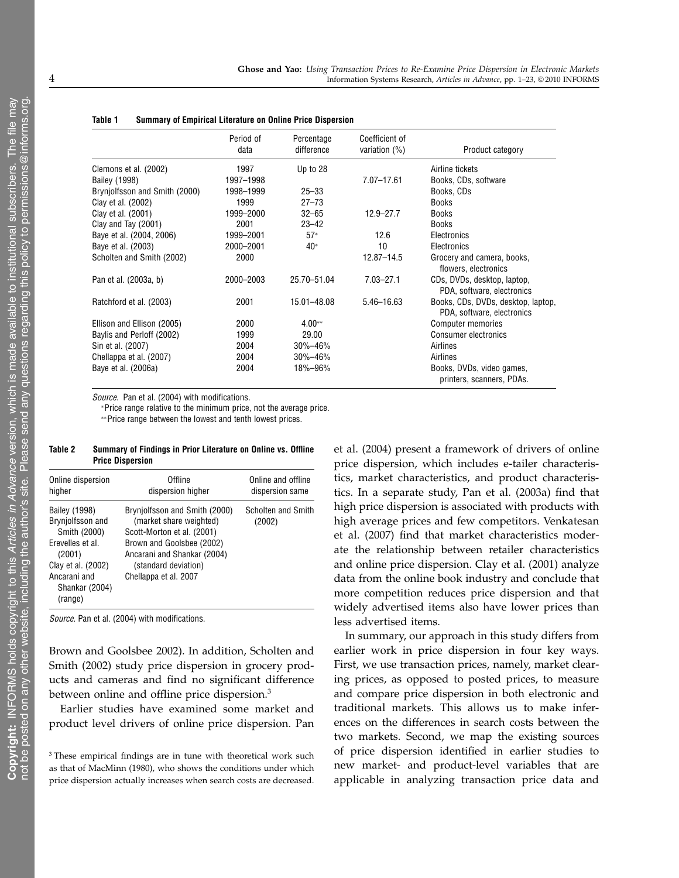|                               | Period of<br>data | Percentage<br>difference | Coefficient of<br>variation $(%)$ | Product category                                                 |
|-------------------------------|-------------------|--------------------------|-----------------------------------|------------------------------------------------------------------|
| Clemons et al. (2002)         | 1997              | Up to 28                 |                                   | Airline tickets                                                  |
| Bailey (1998)                 | 1997-1998         |                          | $7.07 - 17.61$                    | Books, CDs, software                                             |
| Brynjolfsson and Smith (2000) | 1998-1999         | $25 - 33$                |                                   | Books, CDs                                                       |
| Clay et al. (2002)            | 1999              | $27 - 73$                |                                   | <b>Books</b>                                                     |
| Clay et al. (2001)            | 1999-2000         | $32 - 65$                | $12.9 - 27.7$                     | <b>Books</b>                                                     |
| Clay and Tay (2001)           | 2001              | $23 - 42$                |                                   | <b>Books</b>                                                     |
| Baye et al. (2004, 2006)      | 1999-2001         | $57*$                    | 12.6                              | Electronics                                                      |
| Baye et al. (2003)            | 2000-2001         | 40*                      | 10                                | Electronics                                                      |
| Scholten and Smith (2002)     | 2000              |                          | $12.87 - 14.5$                    | Grocery and camera, books,<br>flowers, electronics               |
| Pan et al. (2003a, b)         | 2000-2003         | 25.70-51.04              | $7.03 - 27.1$                     | CDs, DVDs, desktop, laptop,<br>PDA, software, electronics        |
| Ratchford et al. (2003)       | 2001              | 15.01-48.08              | $5.46 - 16.63$                    | Books, CDs, DVDs, desktop, laptop,<br>PDA, software, electronics |
| Ellison and Ellison (2005)    | 2000              | $4.00**$                 |                                   | <b>Computer memories</b>                                         |
| Baylis and Perloff (2002)     | 1999              | 29.00                    |                                   | <b>Consumer electronics</b>                                      |
| Sin et al. (2007)             | 2004              | $30\% - 46\%$            |                                   | Airlines                                                         |
| Chellappa et al. (2007)       | 2004              | $30\% - 46\%$            |                                   | Airlines                                                         |
| Baye et al. (2006a)           | 2004              | 18%–96%                  |                                   | Books, DVDs, video games,<br>printers, scanners, PDAs.           |

| Summary of Empirical Literature on Online Price Dispersion | Table 1 |  |  |  |  |  |  |  |  |  |
|------------------------------------------------------------|---------|--|--|--|--|--|--|--|--|--|
|------------------------------------------------------------|---------|--|--|--|--|--|--|--|--|--|

Source. Pan et al. (2004) with modifications.

<sup>∗</sup>Price range relative to the minimum price, not the average price.

∗∗Price range between the lowest and tenth lowest prices.

| Table 2 | Summary of Findings in Prior Literature on Online vs. Offline |  |
|---------|---------------------------------------------------------------|--|
|         | <b>Price Dispersion</b>                                       |  |

| Online dispersion<br>higher                                                                                                                               | Offline<br>dispersion higher                                                                                                                                                                        | Online and offline<br>dispersion same |
|-----------------------------------------------------------------------------------------------------------------------------------------------------------|-----------------------------------------------------------------------------------------------------------------------------------------------------------------------------------------------------|---------------------------------------|
| Bailey (1998)<br>Brynjolfsson and<br>Smith (2000)<br>Erevelles et al.<br>(2001)<br>Clay et al. (2002)<br>Ancarani and<br><b>Shankar (2004)</b><br>(range) | Bryniolfsson and Smith (2000)<br>(market share weighted)<br>Scott-Morton et al. (2001)<br>Brown and Goolsbee (2002)<br>Ancarani and Shankar (2004)<br>(standard deviation)<br>Chellappa et al. 2007 | Scholten and Smith<br>(2002)          |

Source. Pan et al. (2004) with modifications.

Brown and Goolsbee 2002). In addition, Scholten and Smith (2002) study price dispersion in grocery products and cameras and find no significant difference between online and offline price dispersion.<sup>3</sup>

Earlier studies have examined some market and product level drivers of online price dispersion. Pan et al. (2004) present a framework of drivers of online price dispersion, which includes e-tailer characteristics, market characteristics, and product characteristics. In a separate study, Pan et al. (2003a) find that high price dispersion is associated with products with high average prices and few competitors. Venkatesan et al. (2007) find that market characteristics moderate the relationship between retailer characteristics and online price dispersion. Clay et al. (2001) analyze data from the online book industry and conclude that more competition reduces price dispersion and that widely advertised items also have lower prices than less advertised items.

In summary, our approach in this study differs from earlier work in price dispersion in four key ways. First, we use transaction prices, namely, market clearing prices, as opposed to posted prices, to measure and compare price dispersion in both electronic and traditional markets. This allows us to make inferences on the differences in search costs between the two markets. Second, we map the existing sources of price dispersion identified in earlier studies to new market- and product-level variables that are applicable in analyzing transaction price data and

<sup>&</sup>lt;sup>3</sup> These empirical findings are in tune with theoretical work such as that of MacMinn (1980), who shows the conditions under which price dispersion actually increases when search costs are decreased.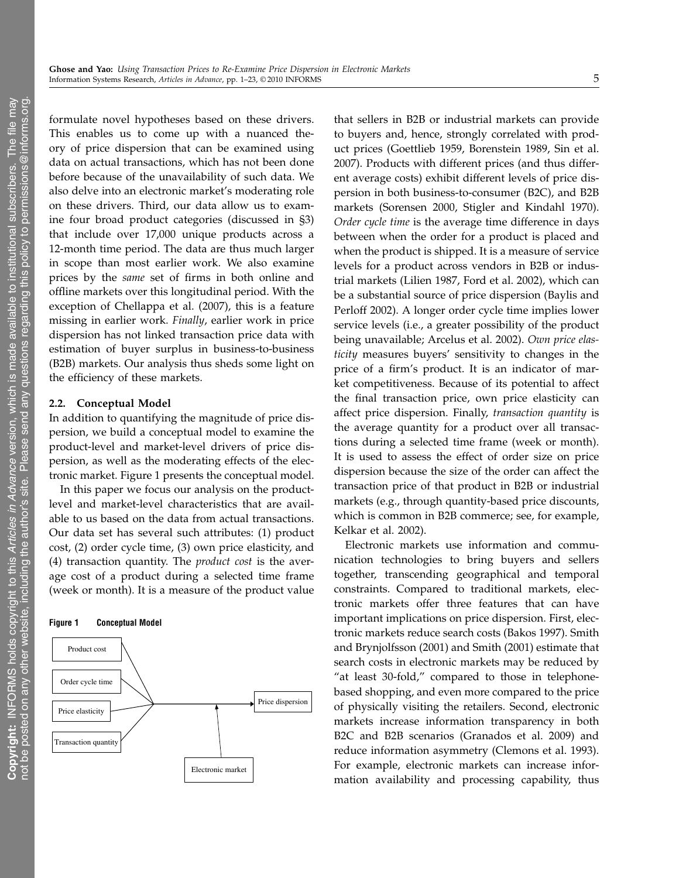formulate novel hypotheses based on these drivers. This enables us to come up with a nuanced theory of price dispersion that can be examined using data on actual transactions, which has not been done before because of the unavailability of such data. We also delve into an electronic market's moderating role on these drivers. Third, our data allow us to examine four broad product categories (discussed in §3) that include over 17,000 unique products across a 12-month time period. The data are thus much larger in scope than most earlier work. We also examine prices by the same set of firms in both online and offline markets over this longitudinal period. With the exception of Chellappa et al. (2007), this is a feature missing in earlier work. Finally, earlier work in price dispersion has not linked transaction price data with estimation of buyer surplus in business-to-business (B2B) markets. Our analysis thus sheds some light on the efficiency of these markets.

### 2.2. Conceptual Model

In addition to quantifying the magnitude of price dispersion, we build a conceptual model to examine the product-level and market-level drivers of price dispersion, as well as the moderating effects of the electronic market. Figure 1 presents the conceptual model.

In this paper we focus our analysis on the productlevel and market-level characteristics that are available to us based on the data from actual transactions. Our data set has several such attributes: (1) product cost, (2) order cycle time, (3) own price elasticity, and (4) transaction quantity. The product cost is the average cost of a product during a selected time frame (week or month). It is a measure of the product value

### Figure 1 Conceptual Model



that sellers in B2B or industrial markets can provide to buyers and, hence, strongly correlated with product prices (Goettlieb 1959, Borenstein 1989, Sin et al. 2007). Products with different prices (and thus different average costs) exhibit different levels of price dispersion in both business-to-consumer (B2C), and B2B markets (Sorensen 2000, Stigler and Kindahl 1970). Order cycle time is the average time difference in days between when the order for a product is placed and when the product is shipped. It is a measure of service levels for a product across vendors in B2B or industrial markets (Lilien 1987, Ford et al. 2002), which can be a substantial source of price dispersion (Baylis and Perloff 2002). A longer order cycle time implies lower service levels (i.e., a greater possibility of the product being unavailable; Arcelus et al. 2002). Own price elasticity measures buyers' sensitivity to changes in the price of a firm's product. It is an indicator of market competitiveness. Because of its potential to affect the final transaction price, own price elasticity can affect price dispersion. Finally, transaction quantity is the average quantity for a product over all transactions during a selected time frame (week or month). It is used to assess the effect of order size on price dispersion because the size of the order can affect the transaction price of that product in B2B or industrial markets (e.g., through quantity-based price discounts, which is common in B2B commerce; see, for example, Kelkar et al. 2002).

Electronic markets use information and communication technologies to bring buyers and sellers together, transcending geographical and temporal constraints. Compared to traditional markets, electronic markets offer three features that can have important implications on price dispersion. First, electronic markets reduce search costs (Bakos 1997). Smith and Brynjolfsson (2001) and Smith (2001) estimate that search costs in electronic markets may be reduced by "at least 30-fold," compared to those in telephonebased shopping, and even more compared to the price of physically visiting the retailers. Second, electronic markets increase information transparency in both B2C and B2B scenarios (Granados et al. 2009) and reduce information asymmetry (Clemons et al. 1993). For example, electronic markets can increase information availability and processing capability, thus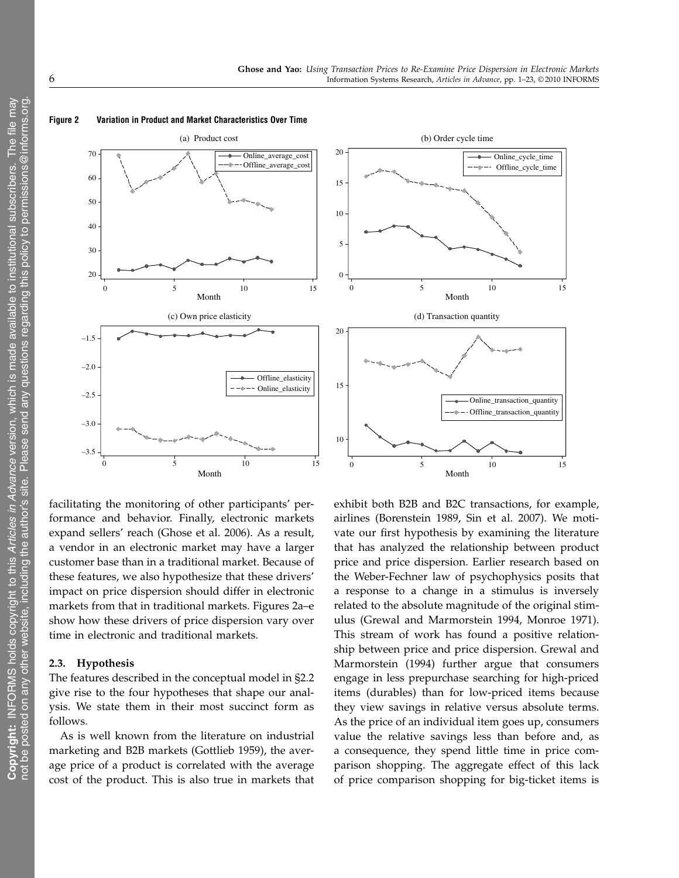

#### Figure 2 Variation in Product and Market Characteristics Over Time

facilitating the monitoring of other participants' performance and behavior. Finally, electronic markets expand sellers' reach (Ghose et al. 2006). As a result, a vendor in an electronic market may have a larger customer base than in a traditional market. Because of these features, we also hypothesize that these drivers' impact on price dispersion should differ in electronic markets from that in traditional markets. Figures 2a–e show how these drivers of price dispersion vary over time in electronic and traditional markets.

### 2.3. Hypothesis

The features described in the conceptual model in §2.2 give rise to the four hypotheses that shape our analysis. We state them in their most succinct form as follows.

As is well known from the literature on industrial marketing and B2B markets (Gottlieb 1959), the average price of a product is correlated with the average cost of the product. This is also true in markets that exhibit both B2B and B2C transactions, for example, airlines (Borenstein 1989, Sin et al. 2007). We motivate our first hypothesis by examining the literature that has analyzed the relationship between product price and price dispersion. Earlier research based on the Weber-Fechner law of psychophysics posits that a response to a change in a stimulus is inversely related to the absolute magnitude of the original stimulus (Grewal and Marmorstein 1994, Monroe 1971). This stream of work has found a positive relationship between price and price dispersion. Grewal and Marmorstein (1994) further argue that consumers engage in less prepurchase searching for high-priced items (durables) than for low-priced items because they view savings in relative versus absolute terms. As the price of an individual item goes up, consumers value the relative savings less than before and, as a consequence, they spend little time in price comparison shopping. The aggregate effect of this lack of price comparison shopping for big-ticket items is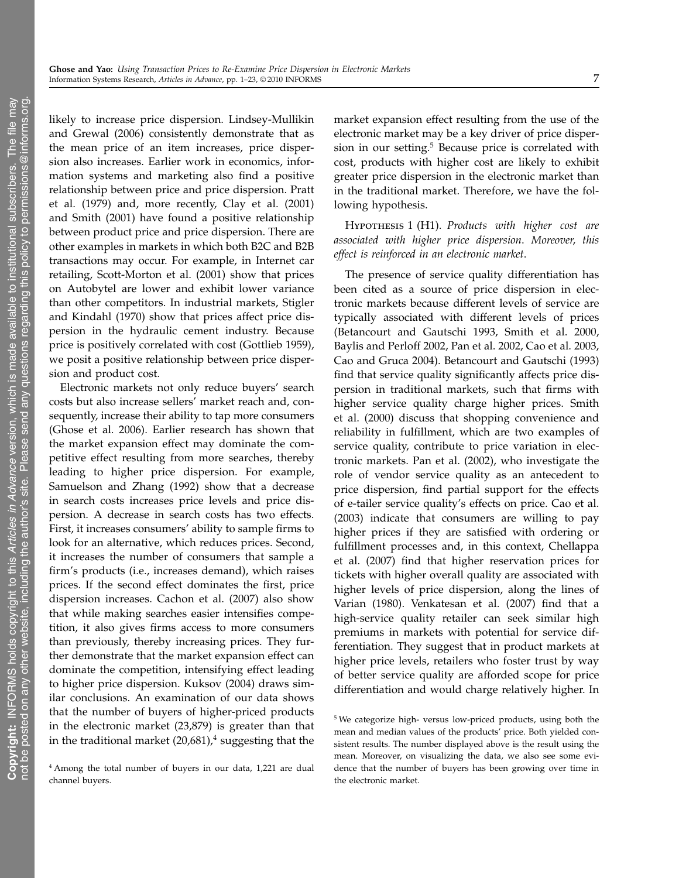likely to increase price dispersion. Lindsey-Mullikin and Grewal (2006) consistently demonstrate that as the mean price of an item increases, price dispersion also increases. Earlier work in economics, information systems and marketing also find a positive relationship between price and price dispersion. Pratt et al. (1979) and, more recently, Clay et al. (2001) and Smith (2001) have found a positive relationship between product price and price dispersion. There are other examples in markets in which both B2C and B2B transactions may occur. For example, in Internet car retailing, Scott-Morton et al. (2001) show that prices on Autobytel are lower and exhibit lower variance than other competitors. In industrial markets, Stigler and Kindahl (1970) show that prices affect price dispersion in the hydraulic cement industry. Because price is positively correlated with cost (Gottlieb 1959), we posit a positive relationship between price dispersion and product cost.

Electronic markets not only reduce buyers' search costs but also increase sellers' market reach and, consequently, increase their ability to tap more consumers (Ghose et al. 2006). Earlier research has shown that the market expansion effect may dominate the competitive effect resulting from more searches, thereby leading to higher price dispersion. For example, Samuelson and Zhang (1992) show that a decrease in search costs increases price levels and price dispersion. A decrease in search costs has two effects. First, it increases consumers' ability to sample firms to look for an alternative, which reduces prices. Second, it increases the number of consumers that sample a firm's products (i.e., increases demand), which raises prices. If the second effect dominates the first, price dispersion increases. Cachon et al. (2007) also show that while making searches easier intensifies competition, it also gives firms access to more consumers than previously, thereby increasing prices. They further demonstrate that the market expansion effect can dominate the competition, intensifying effect leading to higher price dispersion. Kuksov (2004) draws similar conclusions. An examination of our data shows that the number of buyers of higher-priced products in the electronic market (23,879) is greater than that in the traditional market  $(20,681)$ ,<sup>4</sup> suggesting that the

market expansion effect resulting from the use of the electronic market may be a key driver of price dispersion in our setting.<sup>5</sup> Because price is correlated with cost, products with higher cost are likely to exhibit greater price dispersion in the electronic market than in the traditional market. Therefore, we have the following hypothesis.

# HYPOTHESIS 1 (H1). Products with higher cost are associated with higher price dispersion. Moreover, this effect is reinforced in an electronic market.

The presence of service quality differentiation has been cited as a source of price dispersion in electronic markets because different levels of service are typically associated with different levels of prices (Betancourt and Gautschi 1993, Smith et al. 2000, Baylis and Perloff 2002, Pan et al. 2002, Cao et al. 2003, Cao and Gruca 2004). Betancourt and Gautschi (1993) find that service quality significantly affects price dispersion in traditional markets, such that firms with higher service quality charge higher prices. Smith et al. (2000) discuss that shopping convenience and reliability in fulfillment, which are two examples of service quality, contribute to price variation in electronic markets. Pan et al. (2002), who investigate the role of vendor service quality as an antecedent to price dispersion, find partial support for the effects of e-tailer service quality's effects on price. Cao et al. (2003) indicate that consumers are willing to pay higher prices if they are satisfied with ordering or fulfillment processes and, in this context, Chellappa et al. (2007) find that higher reservation prices for tickets with higher overall quality are associated with higher levels of price dispersion, along the lines of Varian (1980). Venkatesan et al. (2007) find that a high-service quality retailer can seek similar high premiums in markets with potential for service differentiation. They suggest that in product markets at higher price levels, retailers who foster trust by way of better service quality are afforded scope for price differentiation and would charge relatively higher. In

 $\geq$ 

<sup>4</sup> Among the total number of buyers in our data, 1,221 are dual channel buyers.

<sup>5</sup> We categorize high- versus low-priced products, using both the mean and median values of the products' price. Both yielded consistent results. The number displayed above is the result using the mean. Moreover, on visualizing the data, we also see some evidence that the number of buyers has been growing over time in the electronic market.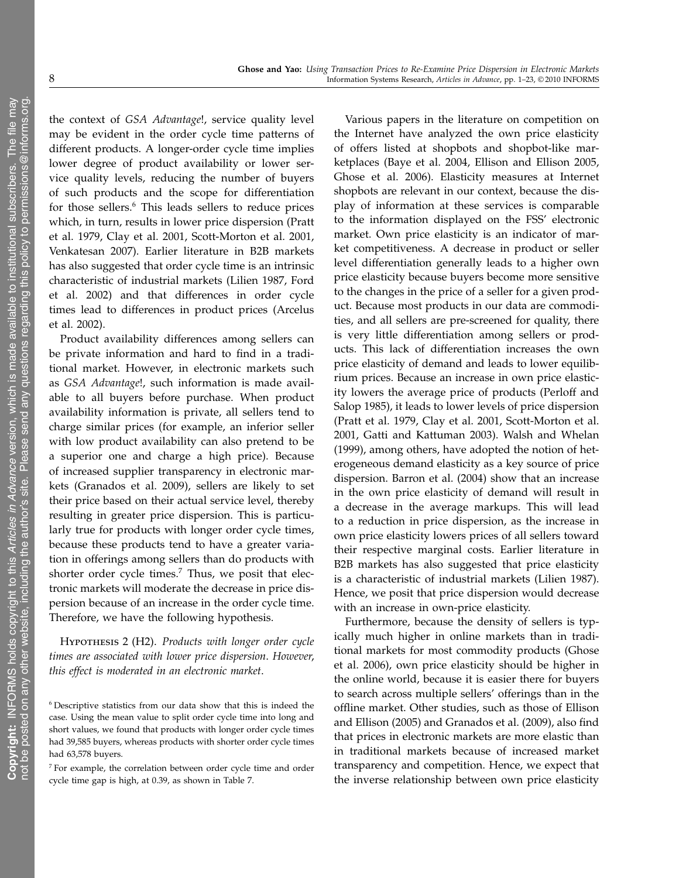the context of GSA Advantage!, service quality level may be evident in the order cycle time patterns of different products. A longer-order cycle time implies lower degree of product availability or lower service quality levels, reducing the number of buyers of such products and the scope for differentiation for those sellers.<sup>6</sup> This leads sellers to reduce prices which, in turn, results in lower price dispersion (Pratt et al. 1979, Clay et al. 2001, Scott-Morton et al. 2001, Venkatesan 2007). Earlier literature in B2B markets has also suggested that order cycle time is an intrinsic characteristic of industrial markets (Lilien 1987, Ford et al. 2002) and that differences in order cycle times lead to differences in product prices (Arcelus et al. 2002).

Product availability differences among sellers can be private information and hard to find in a traditional market. However, in electronic markets such as GSA Advantage!, such information is made available to all buyers before purchase. When product availability information is private, all sellers tend to charge similar prices (for example, an inferior seller with low product availability can also pretend to be a superior one and charge a high price). Because of increased supplier transparency in electronic markets (Granados et al. 2009), sellers are likely to set their price based on their actual service level, thereby resulting in greater price dispersion. This is particularly true for products with longer order cycle times, because these products tend to have a greater variation in offerings among sellers than do products with shorter order cycle times.<sup>7</sup> Thus, we posit that electronic markets will moderate the decrease in price dispersion because of an increase in the order cycle time. Therefore, we have the following hypothesis.

HYPOTHESIS 2 (H2). Products with longer order cycle times are associated with lower price dispersion. However, this effect is moderated in an electronic market.

Various papers in the literature on competition on the Internet have analyzed the own price elasticity of offers listed at shopbots and shopbot-like marketplaces (Baye et al. 2004, Ellison and Ellison 2005, Ghose et al. 2006). Elasticity measures at Internet shopbots are relevant in our context, because the display of information at these services is comparable to the information displayed on the FSS' electronic market. Own price elasticity is an indicator of market competitiveness. A decrease in product or seller level differentiation generally leads to a higher own price elasticity because buyers become more sensitive to the changes in the price of a seller for a given product. Because most products in our data are commodities, and all sellers are pre-screened for quality, there is very little differentiation among sellers or products. This lack of differentiation increases the own price elasticity of demand and leads to lower equilibrium prices. Because an increase in own price elasticity lowers the average price of products (Perloff and Salop 1985), it leads to lower levels of price dispersion (Pratt et al. 1979, Clay et al. 2001, Scott-Morton et al. 2001, Gatti and Kattuman 2003). Walsh and Whelan (1999), among others, have adopted the notion of heterogeneous demand elasticity as a key source of price dispersion. Barron et al. (2004) show that an increase in the own price elasticity of demand will result in a decrease in the average markups. This will lead to a reduction in price dispersion, as the increase in own price elasticity lowers prices of all sellers toward their respective marginal costs. Earlier literature in B2B markets has also suggested that price elasticity is a characteristic of industrial markets (Lilien 1987). Hence, we posit that price dispersion would decrease with an increase in own-price elasticity.

Furthermore, because the density of sellers is typically much higher in online markets than in traditional markets for most commodity products (Ghose et al. 2006), own price elasticity should be higher in the online world, because it is easier there for buyers to search across multiple sellers' offerings than in the offline market. Other studies, such as those of Ellison and Ellison (2005) and Granados et al. (2009), also find that prices in electronic markets are more elastic than in traditional markets because of increased market transparency and competition. Hence, we expect that the inverse relationship between own price elasticity

<sup>6</sup> Descriptive statistics from our data show that this is indeed the case. Using the mean value to split order cycle time into long and short values, we found that products with longer order cycle times had 39,585 buyers, whereas products with shorter order cycle times had 63,578 buyers.

<sup>7</sup> For example, the correlation between order cycle time and order cycle time gap is high, at 0.39, as shown in Table 7.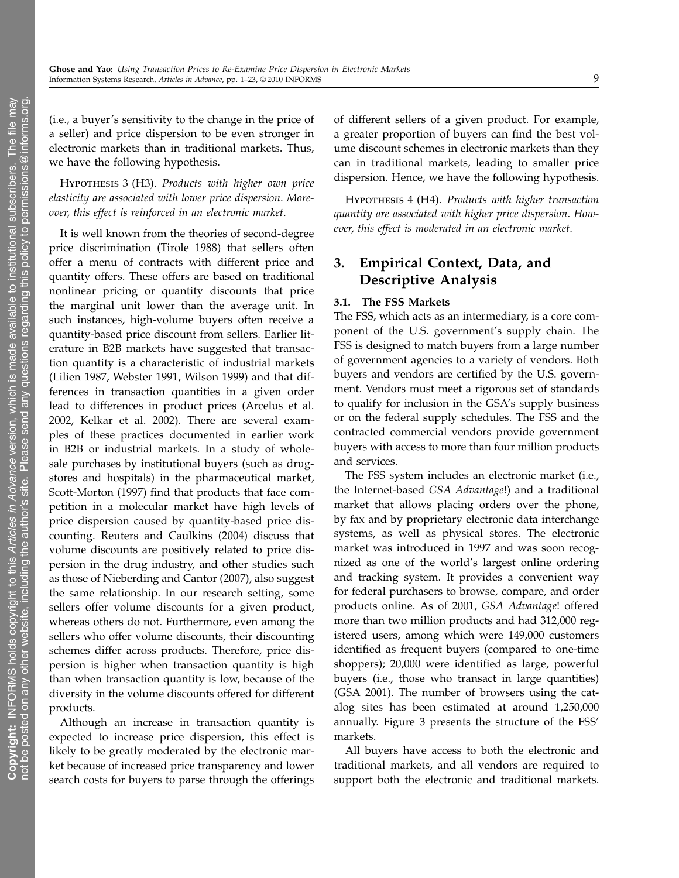(i.e., a buyer's sensitivity to the change in the price of a seller) and price dispersion to be even stronger in electronic markets than in traditional markets. Thus, we have the following hypothesis.

Hypothesis 3 (H3). Products with higher own price elasticity are associated with lower price dispersion. Moreover, this effect is reinforced in an electronic market.

It is well known from the theories of second-degree price discrimination (Tirole 1988) that sellers often offer a menu of contracts with different price and quantity offers. These offers are based on traditional nonlinear pricing or quantity discounts that price the marginal unit lower than the average unit. In such instances, high-volume buyers often receive a quantity-based price discount from sellers. Earlier literature in B2B markets have suggested that transaction quantity is a characteristic of industrial markets (Lilien 1987, Webster 1991, Wilson 1999) and that differences in transaction quantities in a given order lead to differences in product prices (Arcelus et al. 2002, Kelkar et al. 2002). There are several examples of these practices documented in earlier work in B2B or industrial markets. In a study of wholesale purchases by institutional buyers (such as drugstores and hospitals) in the pharmaceutical market, Scott-Morton (1997) find that products that face competition in a molecular market have high levels of price dispersion caused by quantity-based price discounting. Reuters and Caulkins (2004) discuss that volume discounts are positively related to price dispersion in the drug industry, and other studies such as those of Nieberding and Cantor (2007), also suggest the same relationship. In our research setting, some sellers offer volume discounts for a given product, whereas others do not. Furthermore, even among the sellers who offer volume discounts, their discounting schemes differ across products. Therefore, price dispersion is higher when transaction quantity is high than when transaction quantity is low, because of the diversity in the volume discounts offered for different products.

Although an increase in transaction quantity is expected to increase price dispersion, this effect is likely to be greatly moderated by the electronic market because of increased price transparency and lower search costs for buyers to parse through the offerings of different sellers of a given product. For example, a greater proportion of buyers can find the best volume discount schemes in electronic markets than they can in traditional markets, leading to smaller price dispersion. Hence, we have the following hypothesis.

Hypothesis 4 (H4). Products with higher transaction quantity are associated with higher price dispersion. However, this effect is moderated in an electronic market.

# 3. Empirical Context, Data, and Descriptive Analysis

### 3.1. The FSS Markets

The FSS, which acts as an intermediary, is a core component of the U.S. government's supply chain. The FSS is designed to match buyers from a large number of government agencies to a variety of vendors. Both buyers and vendors are certified by the U.S. government. Vendors must meet a rigorous set of standards to qualify for inclusion in the GSA's supply business or on the federal supply schedules. The FSS and the contracted commercial vendors provide government buyers with access to more than four million products and services.

The FSS system includes an electronic market (i.e., the Internet-based GSA Advantage!) and a traditional market that allows placing orders over the phone, by fax and by proprietary electronic data interchange systems, as well as physical stores. The electronic market was introduced in 1997 and was soon recognized as one of the world's largest online ordering and tracking system. It provides a convenient way for federal purchasers to browse, compare, and order products online. As of 2001, GSA Advantage! offered more than two million products and had 312,000 registered users, among which were 149,000 customers identified as frequent buyers (compared to one-time shoppers); 20,000 were identified as large, powerful buyers (i.e., those who transact in large quantities) (GSA 2001). The number of browsers using the catalog sites has been estimated at around 1,250,000 annually. Figure 3 presents the structure of the FSS' markets.

All buyers have access to both the electronic and traditional markets, and all vendors are required to support both the electronic and traditional markets.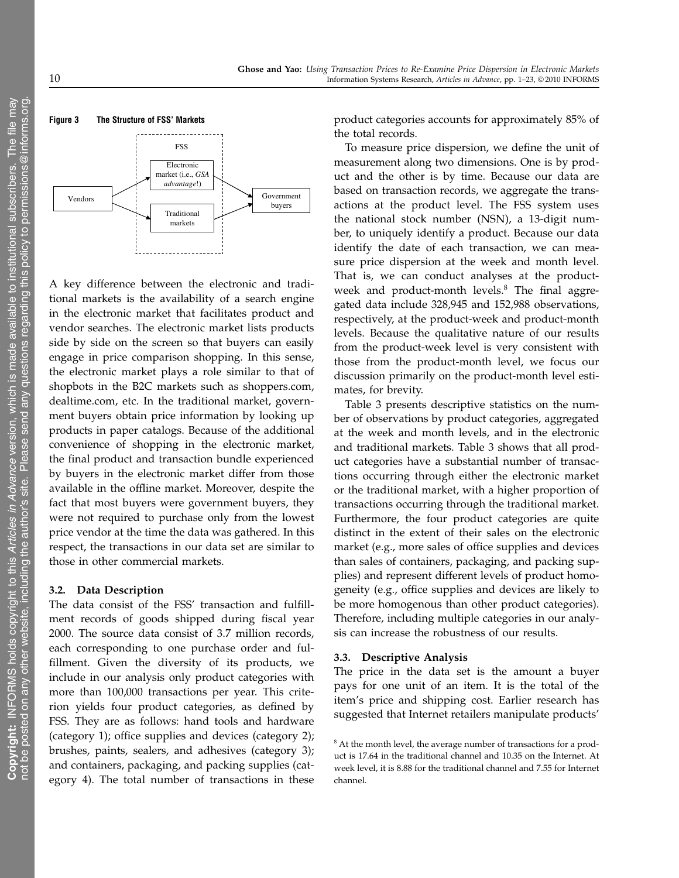

A key difference between the electronic and traditional markets is the availability of a search engine in the electronic market that facilitates product and vendor searches. The electronic market lists products side by side on the screen so that buyers can easily engage in price comparison shopping. In this sense, the electronic market plays a role similar to that of shopbots in the B2C markets such as shoppers.com, dealtime.com, etc. In the traditional market, government buyers obtain price information by looking up products in paper catalogs. Because of the additional convenience of shopping in the electronic market, the final product and transaction bundle experienced by buyers in the electronic market differ from those available in the offline market. Moreover, despite the fact that most buyers were government buyers, they were not required to purchase only from the lowest price vendor at the time the data was gathered. In this respect, the transactions in our data set are similar to those in other commercial markets.

### 3.2. Data Description

The data consist of the FSS' transaction and fulfillment records of goods shipped during fiscal year 2000. The source data consist of 3.7 million records, each corresponding to one purchase order and fulfillment. Given the diversity of its products, we include in our analysis only product categories with more than 100,000 transactions per year. This criterion yields four product categories, as defined by FSS. They are as follows: hand tools and hardware (category 1); office supplies and devices (category 2); brushes, paints, sealers, and adhesives (category 3); and containers, packaging, and packing supplies (category 4). The total number of transactions in these product categories accounts for approximately 85% of the total records.

To measure price dispersion, we define the unit of measurement along two dimensions. One is by product and the other is by time. Because our data are based on transaction records, we aggregate the transactions at the product level. The FSS system uses the national stock number (NSN), a 13-digit number, to uniquely identify a product. Because our data identify the date of each transaction, we can measure price dispersion at the week and month level. That is, we can conduct analyses at the productweek and product-month levels. $8$  The final aggregated data include 328,945 and 152,988 observations, respectively, at the product-week and product-month levels. Because the qualitative nature of our results from the product-week level is very consistent with those from the product-month level, we focus our discussion primarily on the product-month level estimates, for brevity.

Table 3 presents descriptive statistics on the number of observations by product categories, aggregated at the week and month levels, and in the electronic and traditional markets. Table 3 shows that all product categories have a substantial number of transactions occurring through either the electronic market or the traditional market, with a higher proportion of transactions occurring through the traditional market. Furthermore, the four product categories are quite distinct in the extent of their sales on the electronic market (e.g., more sales of office supplies and devices than sales of containers, packaging, and packing supplies) and represent different levels of product homogeneity (e.g., office supplies and devices are likely to be more homogenous than other product categories). Therefore, including multiple categories in our analysis can increase the robustness of our results.

### 3.3. Descriptive Analysis

The price in the data set is the amount a buyer pays for one unit of an item. It is the total of the item's price and shipping cost. Earlier research has suggested that Internet retailers manipulate products'

<sup>&</sup>lt;sup>8</sup> At the month level, the average number of transactions for a product is 17.64 in the traditional channel and 10.35 on the Internet. At week level, it is 8.88 for the traditional channel and 7.55 for Internet channel.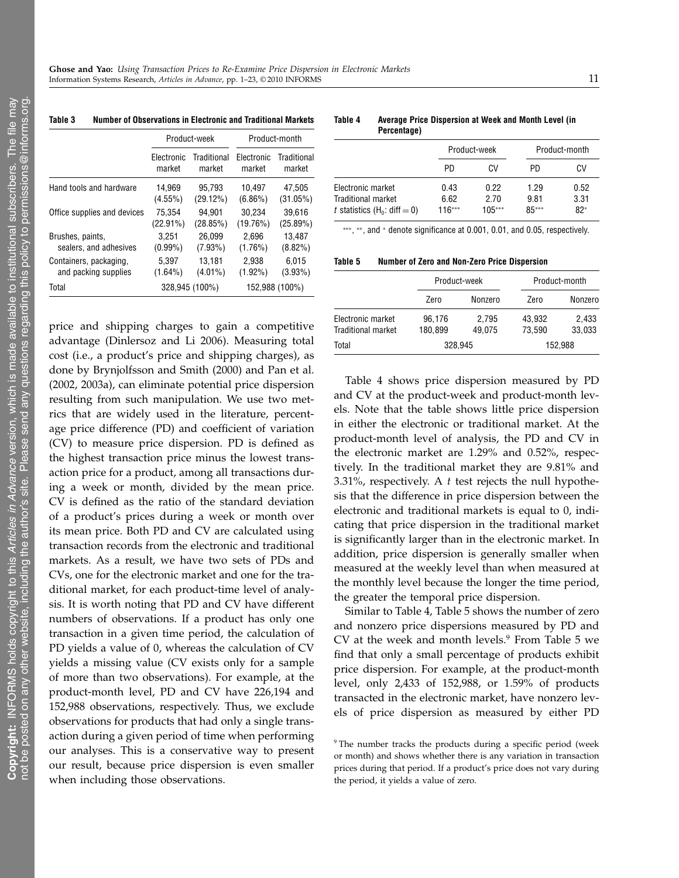|                             |                                               | Product-week   | Product-month        |                       |  |  |
|-----------------------------|-----------------------------------------------|----------------|----------------------|-----------------------|--|--|
|                             | Traditional<br>Electronic<br>market<br>market |                | Electronic<br>market | Traditional<br>market |  |  |
| Hand tools and hardware     | 14.969                                        | 95.793         | 10.497               | 47.505                |  |  |
|                             | $(4.55\%)$                                    | (29.12%)       | $(6.86\%)$           | (31.05%)              |  |  |
| Office supplies and devices | 75.354                                        | 94.901         | 30.234               | 39.616                |  |  |
|                             | $(22.91\%)$                                   | (28.85%)       | (19.76%)             | (25.89%)              |  |  |
| Brushes, paints,            | 3.251                                         | 26.099         | 2.696                | 13.487                |  |  |
| sealers, and adhesives      | $(0.99\%)$                                    | $(7.93\%)$     | (1.76%)              | $(8.82\%)$            |  |  |
| Containers, packaging,      | 5.397                                         | 13.181         | 2.938                | 6.015                 |  |  |
| and packing supplies        | $(1.64\%)$                                    | $(4.01\%)$     | $(1.92\%)$           | $(3.93\%)$            |  |  |
| Total                       |                                               | 328,945 (100%) |                      | 152,988 (100%)        |  |  |

price and shipping charges to gain a competitive

#### Table 3 Number of Observations in Electronic and Traditional Markets

Table 4 Average Price Dispersion at Week and Month Level (in Percentage)

|                                                                                  |                          | Product-week             |                       | Product-month         |  |
|----------------------------------------------------------------------------------|--------------------------|--------------------------|-----------------------|-----------------------|--|
|                                                                                  | PD.                      | CV                       | PD.                   | CV                    |  |
| Electronic market<br><b>Traditional market</b><br>t statistics $(H_0: diff = 0)$ | 0.43<br>6.62<br>$116***$ | 0.22<br>2.70<br>$105***$ | 1.29<br>9.81<br>85*** | 0.52<br>3.31<br>$82*$ |  |

∗∗∗, ∗∗, and <sup>∗</sup> denote significance at 0.001, 0.01, and 0.05, respectively.

Table 5 Number of Zero and Non-Zero Price Dispersion

|                                         |                   | Product-week    |                  | Product-month   |
|-----------------------------------------|-------------------|-----------------|------------------|-----------------|
|                                         | Zero              | Nonzero         | Zero             | Nonzero         |
| Electronic market<br>Traditional market | 96,176<br>180.899 | 2.795<br>49.075 | 43.932<br>73.590 | 2.433<br>33.033 |
| Total                                   | 328.945           |                 |                  | 152,988         |

advantage (Dinlersoz and Li 2006). Measuring total cost (i.e., a product's price and shipping charges), as done by Brynjolfsson and Smith (2000) and Pan et al. (2002, 2003a), can eliminate potential price dispersion resulting from such manipulation. We use two metrics that are widely used in the literature, percentage price difference (PD) and coefficient of variation (CV) to measure price dispersion. PD is defined as the highest transaction price minus the lowest transaction price for a product, among all transactions during a week or month, divided by the mean price. CV is defined as the ratio of the standard deviation of a product's prices during a week or month over its mean price. Both PD and CV are calculated using transaction records from the electronic and traditional markets. As a result, we have two sets of PDs and CVs, one for the electronic market and one for the traditional market, for each product-time level of analysis. It is worth noting that PD and CV have different numbers of observations. If a product has only one transaction in a given time period, the calculation of PD yields a value of 0, whereas the calculation of CV yields a missing value (CV exists only for a sample of more than two observations). For example, at the product-month level, PD and CV have 226,194 and 152,988 observations, respectively. Thus, we exclude observations for products that had only a single transaction during a given period of time when performing our analyses. This is a conservative way to present our result, because price dispersion is even smaller when including those observations.

Table 4 shows price dispersion measured by PD and CV at the product-week and product-month levels. Note that the table shows little price dispersion in either the electronic or traditional market. At the product-month level of analysis, the PD and CV in the electronic market are 1.29% and 0.52%, respectively. In the traditional market they are 9.81% and 3.31%, respectively. A  $t$  test rejects the null hypothesis that the difference in price dispersion between the electronic and traditional markets is equal to 0, indicating that price dispersion in the traditional market is significantly larger than in the electronic market. In addition, price dispersion is generally smaller when measured at the weekly level than when measured at the monthly level because the longer the time period, the greater the temporal price dispersion.

Similar to Table 4, Table 5 shows the number of zero and nonzero price dispersions measured by PD and CV at the week and month levels. $9$  From Table 5 we find that only a small percentage of products exhibit price dispersion. For example, at the product-month level, only 2,433 of 152,988, or 1.59% of products transacted in the electronic market, have nonzero levels of price dispersion as measured by either PD

<sup>&</sup>lt;sup>9</sup> The number tracks the products during a specific period (week or month) and shows whether there is any variation in transaction prices during that period. If a product's price does not vary during the period, it yields a value of zero.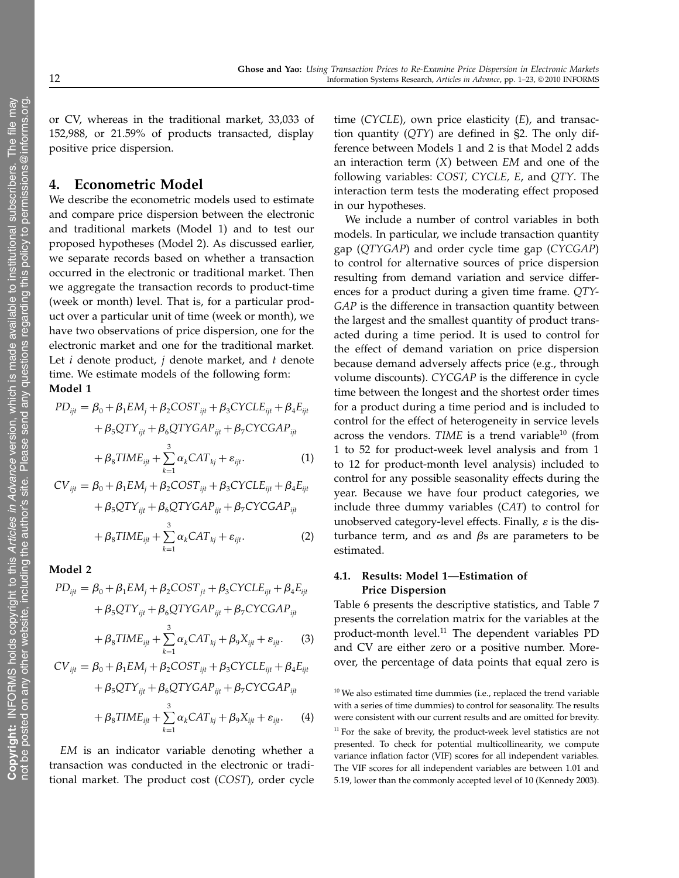or CV, whereas in the traditional market, 33,033 of 152,988, or 21.59% of products transacted, display positive price dispersion.

# 4. Econometric Model

We describe the econometric models used to estimate and compare price dispersion between the electronic and traditional markets (Model 1) and to test our proposed hypotheses (Model 2). As discussed earlier, we separate records based on whether a transaction occurred in the electronic or traditional market. Then we aggregate the transaction records to product-time (week or month) level. That is, for a particular product over a particular unit of time (week or month), we have two observations of price dispersion, one for the electronic market and one for the traditional market. Let  $i$  denote product,  $j$  denote market, and  $t$  denote time. We estimate models of the following form: Model 1

$$
PD_{ijt} = \beta_0 + \beta_1 EM_j + \beta_2 COST_{ijt} + \beta_3 CYCLE_{ijt} + \beta_4 E_{ijt}
$$

$$
+ \beta_5 QTY_{ijt} + \beta_6 QTYGAP_{ijt} + \beta_7 CYCGAP_{ijt}
$$

$$
+ \beta_8 TIME_{ijt} + \sum_{k=1}^{3} \alpha_k CAT_{kj} + \varepsilon_{ijt}.
$$
 (1)

 $CV_{ijt} = \beta_0 + \beta_1 EM_j + \beta_2 COST_{ijt} + \beta_3 CYCLE_{ijt} + \beta_4 E_{ijt}$ +  $\beta_5QTY_{ijt} + \beta_6QTYGAP_{ijt} + \beta_7 CYCGAP_{ijt}$  $+ \beta_8 TIME_{ijt} + \sum^{3}$  $k=1$  $\alpha_k CAT_{kj} + \varepsilon_{ijt}$ . (2)

Model 2

$$
PD_{ijt} = \beta_0 + \beta_1 EM_j + \beta_2 COST_{jt} + \beta_3 CYCLE_{ijt} + \beta_4 E_{ijt}
$$
  
+  $\beta_5 QTY_{ijt} + \beta_6 QTYGAP_{ijt} + \beta_7 CYCGAP_{ijt}$   
+  $\beta_8 TIME_{ijt} + \sum_{k=1}^{3} \alpha_k CAT_{kj} + \beta_9 X_{ijt} + \varepsilon_{ijt}$ . (3)

$$
CV_{ijt} = \beta_0 + \beta_1 EM_j + \beta_2 COST_{ijt} + \beta_3 CYCLE_{ijt} + \beta_4 E_{ijt}
$$

$$
+ \beta_5 QTY_{ijt} + \beta_6 QTYGAP_{ijt} + \beta_7 CYCGAP_{ijt}
$$

$$
+ \beta_8 TIME_{ijt} + \sum_{k=1}^{3} \alpha_k CAT_{kj} + \beta_9 X_{ijt} + \varepsilon_{ijt}. \tag{4}
$$

EM is an indicator variable denoting whether a transaction was conducted in the electronic or traditional market. The product cost (COST), order cycle time (CYCLE), own price elasticity  $(E)$ , and transaction quantity  $(QTY)$  are defined in §2. The only difference between Models 1 and 2 is that Model 2 adds an interaction term  $(X)$  between EM and one of the following variables: COST, CYCLE, E, and QTY. The interaction term tests the moderating effect proposed in our hypotheses.

We include a number of control variables in both models. In particular, we include transaction quantity gap (QTYGAP) and order cycle time gap (CYCGAP) to control for alternative sources of price dispersion resulting from demand variation and service differences for a product during a given time frame. QTY-GAP is the difference in transaction quantity between the largest and the smallest quantity of product transacted during a time period. It is used to control for the effect of demand variation on price dispersion because demand adversely affects price (e.g., through volume discounts). CYCGAP is the difference in cycle time between the longest and the shortest order times for a product during a time period and is included to control for the effect of heterogeneity in service levels across the vendors. TIME is a trend variable<sup>10</sup> (from 1 to 52 for product-week level analysis and from 1 to 12 for product-month level analysis) included to control for any possible seasonality effects during the year. Because we have four product categories, we include three dummy variables (CAT) to control for unobserved category-level effects. Finally,  $\varepsilon$  is the disturbance term, and  $\alpha$ s and  $\beta$ s are parameters to be estimated.

### 4.1. Results: Model 1—Estimation of Price Dispersion

Table 6 presents the descriptive statistics, and Table 7 presents the correlation matrix for the variables at the product-month level.<sup>11</sup> The dependent variables PD and CV are either zero or a positive number. Moreover, the percentage of data points that equal zero is

 $10$  We also estimated time dummies (i.e., replaced the trend variable with a series of time dummies) to control for seasonality. The results were consistent with our current results and are omitted for brevity.  $11$  For the sake of brevity, the product-week level statistics are not presented. To check for potential multicollinearity, we compute variance inflation factor (VIF) scores for all independent variables. The VIF scores for all independent variables are between 1.01 and 5.19, lower than the commonly accepted level of 10 (Kennedy 2003).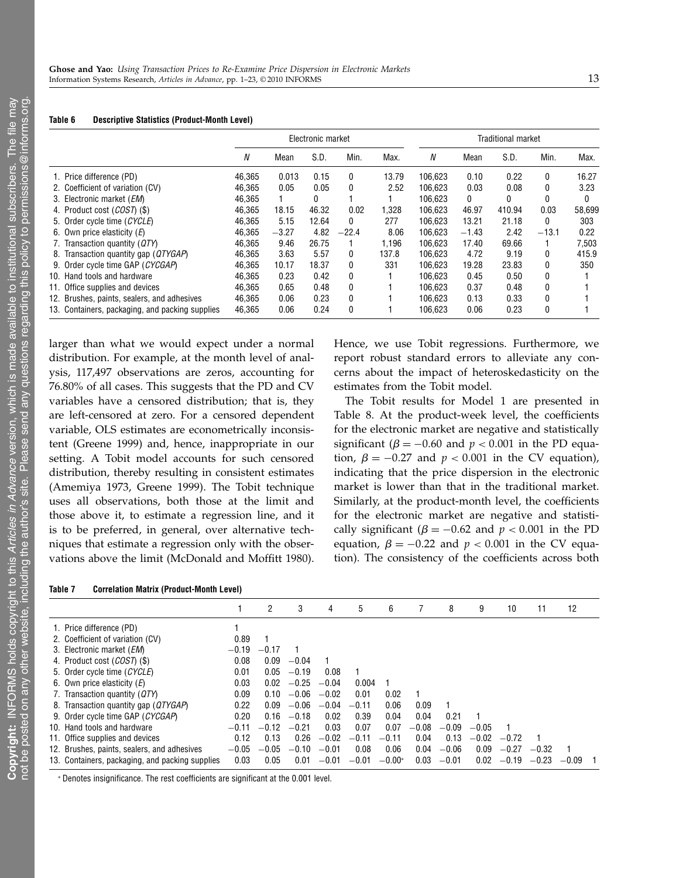| Table 6 |  |  | <b>Descriptive Statistics (Product-Month Level)</b> |  |
|---------|--|--|-----------------------------------------------------|--|
|---------|--|--|-----------------------------------------------------|--|

|                                                 | Electronic market |         |       |         |       |         | <b>Traditional market</b> |        |         |        |
|-------------------------------------------------|-------------------|---------|-------|---------|-------|---------|---------------------------|--------|---------|--------|
|                                                 | N                 | Mean    | S.D.  | Min.    | Max.  | N       | Mean                      | S.D.   | Min.    | Max.   |
| 1. Price difference (PD)                        | 46.365            | 0.013   | 0.15  | 0       | 13.79 | 106.623 | 0.10                      | 0.22   | 0       | 16.27  |
| 2. Coefficient of variation (CV)                | 46,365            | 0.05    | 0.05  | 0       | 2.52  | 106.623 | 0.03                      | 0.08   | 0       | 3.23   |
| 3. Electronic market (EM)                       | 46.365            |         | 0     |         |       | 106.623 | $\bf{0}$                  | 0      | 0       |        |
| 4. Product cost (COST) (\$)                     | 46.365            | 18.15   | 46.32 | 0.02    | 1.328 | 106.623 | 46.97                     | 410.94 | 0.03    | 58.699 |
| 5. Order cycle time (CYCLE)                     | 46,365            | 5.15    | 12.64 | 0       | 277   | 106.623 | 13.21                     | 21.18  | 0       | 303    |
| 6. Own price elasticity $(E)$                   | 46,365            | $-3.27$ | 4.82  | $-22.4$ | 8.06  | 106.623 | $-1.43$                   | 2.42   | $-13.1$ | 0.22   |
| 7. Transaction quantity (QTY)                   | 46,365            | 9.46    | 26.75 |         | 1.196 | 106.623 | 17.40                     | 69.66  |         | 7,503  |
| 8. Transaction quantity gap (QTYGAP)            | 46,365            | 3.63    | 5.57  | 0       | 137.8 | 106.623 | 4.72                      | 9.19   | 0       | 415.9  |
| 9. Order cycle time GAP (CYCGAP)                | 46.365            | 10.17   | 18.37 | 0       | 331   | 106.623 | 19.28                     | 23.83  | 0       | 350    |
| 10. Hand tools and hardware                     | 46.365            | 0.23    | 0.42  | 0       |       | 106.623 | 0.45                      | 0.50   | 0       |        |
| 11. Office supplies and devices                 | 46.365            | 0.65    | 0.48  | 0       |       | 106.623 | 0.37                      | 0.48   | 0       |        |
| 12. Brushes, paints, sealers, and adhesives     | 46,365            | 0.06    | 0.23  | 0       |       | 106.623 | 0.13                      | 0.33   | 0       |        |
| 13. Containers, packaging, and packing supplies | 46,365            | 0.06    | 0.24  | 0       |       | 106.623 | 0.06                      | 0.23   | 0       |        |

larger than what we would expect under a normal distribution. For example, at the month level of analysis, 117,497 observations are zeros, accounting for 76.80% of all cases. This suggests that the PD and CV variables have a censored distribution; that is, they are left-censored at zero. For a censored dependent variable, OLS estimates are econometrically inconsistent (Greene 1999) and, hence, inappropriate in our setting. A Tobit model accounts for such censored distribution, thereby resulting in consistent estimates (Amemiya 1973, Greene 1999). The Tobit technique uses all observations, both those at the limit and those above it, to estimate a regression line, and it is to be preferred, in general, over alternative techniques that estimate a regression only with the observations above the limit (McDonald and Moffitt 1980).

Hence, we use Tobit regressions. Furthermore, we report robust standard errors to alleviate any concerns about the impact of heteroskedasticity on the estimates from the Tobit model.

The Tobit results for Model 1 are presented in Table 8. At the product-week level, the coefficients for the electronic market are negative and statistically significant ( $\beta = -0.60$  and  $p < 0.001$  in the PD equation,  $\beta = -0.27$  and  $p < 0.001$  in the CV equation), indicating that the price dispersion in the electronic market is lower than that in the traditional market. Similarly, at the product-month level, the coefficients for the electronic market are negative and statistically significant ( $\beta = -0.62$  and  $p < 0.001$  in the PD equation,  $\beta = -0.22$  and  $p < 0.001$  in the CV equation). The consistency of the coefficients across both

|                                                 |         | 2       | 3       | 4       | 5       | 6        |         | 8       | 9       | 10      | 11      | 12      |  |
|-------------------------------------------------|---------|---------|---------|---------|---------|----------|---------|---------|---------|---------|---------|---------|--|
| 1. Price difference (PD)                        |         |         |         |         |         |          |         |         |         |         |         |         |  |
| 2. Coefficient of variation (CV)                | 0.89    |         |         |         |         |          |         |         |         |         |         |         |  |
| 3. Electronic market ( <i>EM</i> )              | $-0.19$ | $-0.17$ |         |         |         |          |         |         |         |         |         |         |  |
| 4. Product cost (COST) (\$)                     | 0.08    | 0.09    | $-0.04$ |         |         |          |         |         |         |         |         |         |  |
| 5. Order cycle time (CYCLE)                     | 0.01    | 0.05    | $-0.19$ | 0.08    |         |          |         |         |         |         |         |         |  |
| 6. Own price elasticity $(E)$                   | 0.03    | 0.02    | $-0.25$ | $-0.04$ | 0.004   |          |         |         |         |         |         |         |  |
| 7. Transaction quantity (QTY)                   | 0.09    | 0.10    | $-0.06$ | $-0.02$ | 0.01    | 0.02     |         |         |         |         |         |         |  |
| 8. Transaction quantity gap (QTYGAP)            | 0.22    | 0.09    | $-0.06$ | $-0.04$ | $-0.11$ | 0.06     | 0.09    |         |         |         |         |         |  |
| 9. Order cycle time GAP (CYCGAP)                | 0.20    | 0.16    | $-0.18$ | 0.02    | 0.39    | 0.04     | 0.04    | 0.21    |         |         |         |         |  |
| 10. Hand tools and hardware                     | $-0.11$ | $-0.12$ | $-0.21$ | 0.03    | 0.07    | 0.07     | $-0.08$ | $-0.09$ | $-0.05$ |         |         |         |  |
| 11. Office supplies and devices                 | 0.12    | 0.13    | 0.26    | $-0.02$ | $-0.11$ | $-0.11$  | 0.04    | 0.13    | $-0.02$ | $-0.72$ |         |         |  |
| 12. Brushes, paints, sealers, and adhesives     | $-0.05$ | $-0.05$ | $-0.10$ | $-0.01$ | 0.08    | 0.06     | 0.04    | $-0.06$ | 0.09    | $-0.27$ | $-0.32$ |         |  |
| 13. Containers, packaging, and packing supplies | 0.03    | 0.05    | 0.01    | $-0.01$ | $-0.01$ | $-0.00*$ | 0.03    | $-0.01$ | 0.02    | $-0.19$ | $-0.23$ | $-0.09$ |  |

<sup>∗</sup> Denotes insignificance. The rest coefficients are significant at the 0.001 level.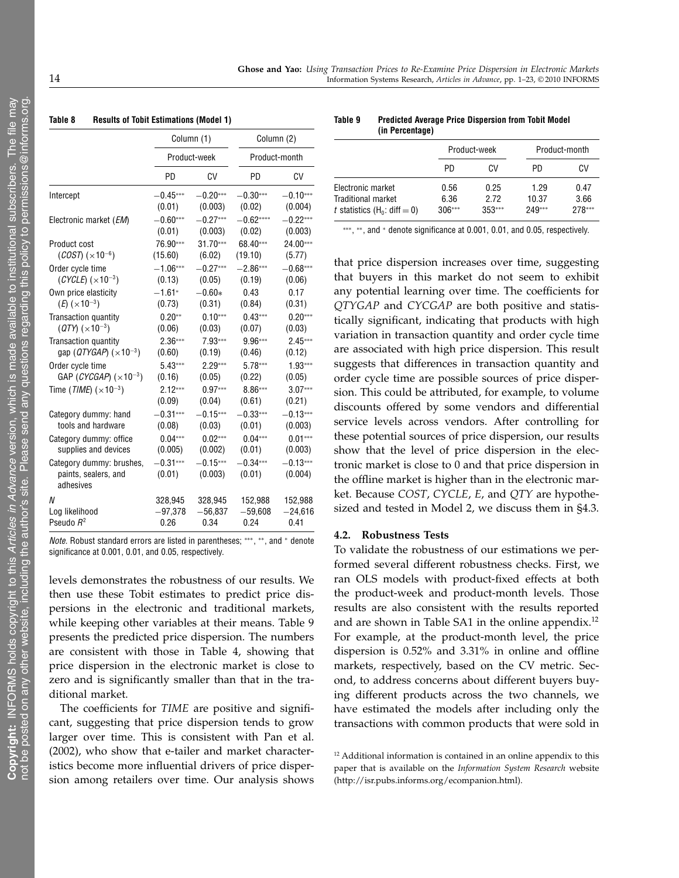|                                                               | Column (1)           |                       |                      | Column (2)            |
|---------------------------------------------------------------|----------------------|-----------------------|----------------------|-----------------------|
|                                                               |                      | Product-week          |                      | Product-month         |
|                                                               | PD                   | CV                    | PD                   | CV                    |
| Intercept                                                     | $-0.45***$           | $-0.20***$            | $-0.30***$           | $-0.10***$            |
|                                                               | (0.01)               | (0.003)               | (0.02)               | (0.004)               |
| Electronic market ( <i>EM</i> )                               | $-0.60***$           | $-0.27***$            | $-0.62***$           | $-0.22***$            |
|                                                               | (0.01)               | (0.003)               | (0.02)               | (0.003)               |
| Product cost                                                  | 76.90***             | 31.70***              | 68.40***             | 24.00***              |
| $(COST)$ ( $\times$ 10 <sup>-6</sup> )                        | (15.60)              | (6.02)                | (19.10)              | (5.77)                |
| Order cycle time                                              | $-1.06***$           | $-0.27***$            | $-2.86***$           | $-0.68***$            |
| $(CYCLE)$ ( $\times$ 10 <sup>-3</sup> )                       | (0.13)               | (0.05)                | (0.19)               | (0.06)                |
| Own price elasticity                                          | $-1.61*$             | $-0.60*$              | 0.43                 | 0.17                  |
| $(E)$ ( $\times$ 10 <sup>-3</sup> )                           | (0.73)               | (0.31)                | (0.84)               | (0.31)                |
| Transaction quantity                                          | $0.20**$             | $0.10***$             | $0.43***$            | $0.20***$             |
| $(QTY)$ ( $\times$ 10 <sup>-3</sup> )                         | (0.06)               | (0.03)                | (0.07)               | (0.03)                |
| Transaction quantity                                          | $2.36***$            | 7.93***               | 9.96***              | $2.45***$             |
| gap ( $QTYGAP$ ) ( $\times$ 10 <sup>-3</sup> )                | (0.60)               | (0.19)                | (0.46)               | (0.12)                |
| Order cycle time                                              | $5.43***$            | $2.29***$             | 5.78***              | $1.93***$             |
| GAP (CYCGAP) $(x10^{-3})$                                     | (0.16)               | (0.05)                | (0.22)               | (0.05)                |
| Time ( <i>TIME</i> ) ( $\times$ 10 <sup>-3</sup> )            | $2.12***$            | $0.97***$             | 8.86***              | $3.07***$             |
|                                                               | (0.09)               | (0.04)                | (0.61)               | (0.21)                |
| Category dummy: hand                                          | $-0.31***$           | $-0.15***$            | $-0.33***$           | $-0.13***$            |
| tools and hardware                                            | (0.08)               | (0.03)                | (0.01)               | (0.003)               |
| Category dummy: office                                        | $0.04***$            | $0.02***$             | $0.04***$            | $0.01***$             |
| supplies and devices                                          | (0.005)              | (0.002)               | (0.01)               | (0.003)               |
| Category dummy: brushes,<br>paints, sealers, and<br>adhesives | $-0.31***$<br>(0.01) | $-0.15***$<br>(0.003) | $-0.34***$<br>(0.01) | $-0.13***$<br>(0.004) |
| N                                                             | 328,945              | 328,945               | 152,988              | 152,988               |
| Log likelihood                                                | $-97,378$            | $-56,837$             | $-59,608$            | $-24,616$             |
| Pseudo R <sup>2</sup>                                         | 0.26                 | 0.34                  | 0.24                 | 0.41                  |

#### Table 8 Results of Tobit Estimations (Model 1)

Note. Robust standard errors are listed in parentheses; ∗∗∗, ∗∗, and <sup>∗</sup> denote significance at 0.001, 0.01, and 0.05, respectively.

levels demonstrates the robustness of our results. We then use these Tobit estimates to predict price dispersions in the electronic and traditional markets, while keeping other variables at their means. Table 9 presents the predicted price dispersion. The numbers are consistent with those in Table 4, showing that price dispersion in the electronic market is close to zero and is significantly smaller than that in the traditional market.

The coefficients for TIME are positive and significant, suggesting that price dispersion tends to grow larger over time. This is consistent with Pan et al. (2002), who show that e-tailer and market characteristics become more influential drivers of price dispersion among retailers over time. Our analysis shows

#### Table 9 Predicted Average Price Dispersion from Tobit Model (in Percentage)

|                                                                           |                          | Product-week             | Product-month           |                        |  |
|---------------------------------------------------------------------------|--------------------------|--------------------------|-------------------------|------------------------|--|
|                                                                           | PD.                      | CV                       | PD                      | CV                     |  |
| Electronic market<br>Traditional market<br>t statistics $(H_0: diff = 0)$ | 0.56<br>6.36<br>$306***$ | 0.25<br>2.72<br>$353***$ | 1.29<br>10.37<br>249*** | 0.47<br>3.66<br>278*** |  |

∗∗∗, ∗∗, and <sup>∗</sup> denote significance at 0.001, 0.01, and 0.05, respectively.

that price dispersion increases over time, suggesting that buyers in this market do not seem to exhibit any potential learning over time. The coefficients for QTYGAP and CYCGAP are both positive and statistically significant, indicating that products with high variation in transaction quantity and order cycle time are associated with high price dispersion. This result suggests that differences in transaction quantity and order cycle time are possible sources of price dispersion. This could be attributed, for example, to volume discounts offered by some vendors and differential service levels across vendors. After controlling for these potential sources of price dispersion, our results show that the level of price dispersion in the electronic market is close to 0 and that price dispersion in the offline market is higher than in the electronic market. Because COST, CYCLE, E, and QTY are hypothesized and tested in Model 2, we discuss them in §4.3.

#### 4.2. Robustness Tests

To validate the robustness of our estimations we performed several different robustness checks. First, we ran OLS models with product-fixed effects at both the product-week and product-month levels. Those results are also consistent with the results reported and are shown in Table SA1 in the online appendix.<sup>12</sup> For example, at the product-month level, the price dispersion is 0.52% and 3.31% in online and offline markets, respectively, based on the CV metric. Second, to address concerns about different buyers buying different products across the two channels, we have estimated the models after including only the transactions with common products that were sold in

<sup>&</sup>lt;sup>12</sup> Additional information is contained in an online appendix to this paper that is available on the Information System Research website (http://isr.pubs.informs.org/ecompanion.html).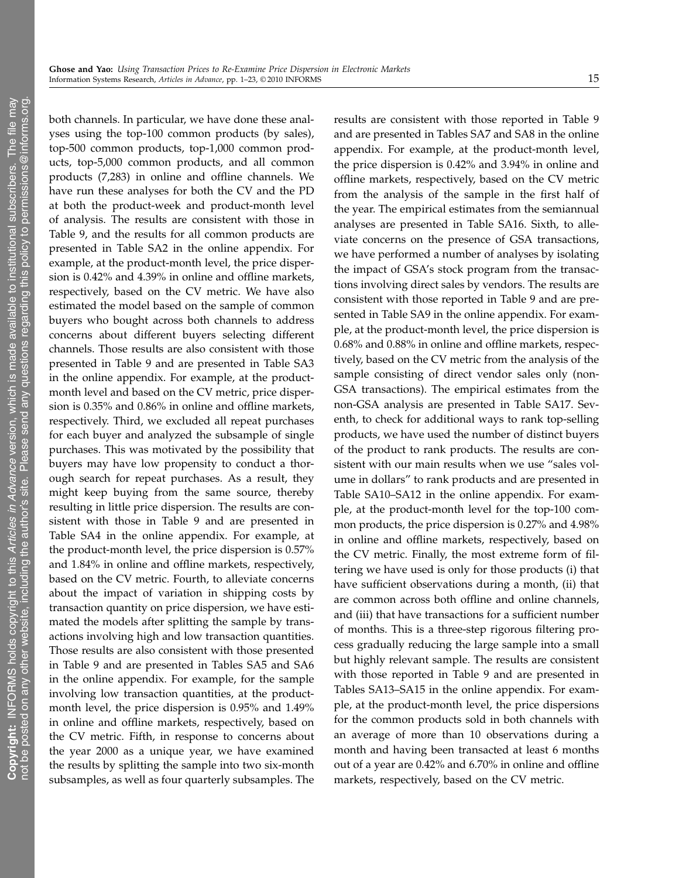both channels. In particular, we have done these analyses using the top-100 common products (by sales), top-500 common products, top-1,000 common products, top-5,000 common products, and all common products (7,283) in online and offline channels. We have run these analyses for both the CV and the PD at both the product-week and product-month level of analysis. The results are consistent with those in Table 9, and the results for all common products are presented in Table SA2 in the online appendix. For example, at the product-month level, the price dispersion is 0.42% and 4.39% in online and offline markets, respectively, based on the CV metric. We have also estimated the model based on the sample of common buyers who bought across both channels to address concerns about different buyers selecting different channels. Those results are also consistent with those presented in Table 9 and are presented in Table SA3 in the online appendix. For example, at the productmonth level and based on the CV metric, price dispersion is 0.35% and 0.86% in online and offline markets, respectively. Third, we excluded all repeat purchases for each buyer and analyzed the subsample of single purchases. This was motivated by the possibility that buyers may have low propensity to conduct a thorough search for repeat purchases. As a result, they might keep buying from the same source, thereby resulting in little price dispersion. The results are consistent with those in Table 9 and are presented in Table SA4 in the online appendix. For example, at the product-month level, the price dispersion is 0.57% and 1.84% in online and offline markets, respectively, based on the CV metric. Fourth, to alleviate concerns about the impact of variation in shipping costs by transaction quantity on price dispersion, we have estimated the models after splitting the sample by transactions involving high and low transaction quantities. Those results are also consistent with those presented in Table 9 and are presented in Tables SA5 and SA6 in the online appendix. For example, for the sample involving low transaction quantities, at the productmonth level, the price dispersion is 0.95% and 1.49% in online and offline markets, respectively, based on the CV metric. Fifth, in response to concerns about the year 2000 as a unique year, we have examined the results by splitting the sample into two six-month subsamples, as well as four quarterly subsamples. The

results are consistent with those reported in Table 9 and are presented in Tables SA7 and SA8 in the online appendix. For example, at the product-month level, the price dispersion is 0.42% and 3.94% in online and offline markets, respectively, based on the CV metric from the analysis of the sample in the first half of the year. The empirical estimates from the semiannual analyses are presented in Table SA16. Sixth, to alleviate concerns on the presence of GSA transactions, we have performed a number of analyses by isolating the impact of GSA's stock program from the transactions involving direct sales by vendors. The results are consistent with those reported in Table 9 and are presented in Table SA9 in the online appendix. For example, at the product-month level, the price dispersion is 0.68% and 0.88% in online and offline markets, respectively, based on the CV metric from the analysis of the sample consisting of direct vendor sales only (non-GSA transactions). The empirical estimates from the non-GSA analysis are presented in Table SA17. Seventh, to check for additional ways to rank top-selling products, we have used the number of distinct buyers of the product to rank products. The results are consistent with our main results when we use "sales volume in dollars" to rank products and are presented in Table SA10–SA12 in the online appendix. For example, at the product-month level for the top-100 common products, the price dispersion is 0.27% and 4.98% in online and offline markets, respectively, based on the CV metric. Finally, the most extreme form of filtering we have used is only for those products (i) that have sufficient observations during a month, (ii) that are common across both offline and online channels, and (iii) that have transactions for a sufficient number of months. This is a three-step rigorous filtering process gradually reducing the large sample into a small but highly relevant sample. The results are consistent with those reported in Table 9 and are presented in Tables SA13–SA15 in the online appendix. For example, at the product-month level, the price dispersions for the common products sold in both channels with an average of more than 10 observations during a month and having been transacted at least 6 months out of a year are 0.42% and 6.70% in online and offline markets, respectively, based on the CV metric.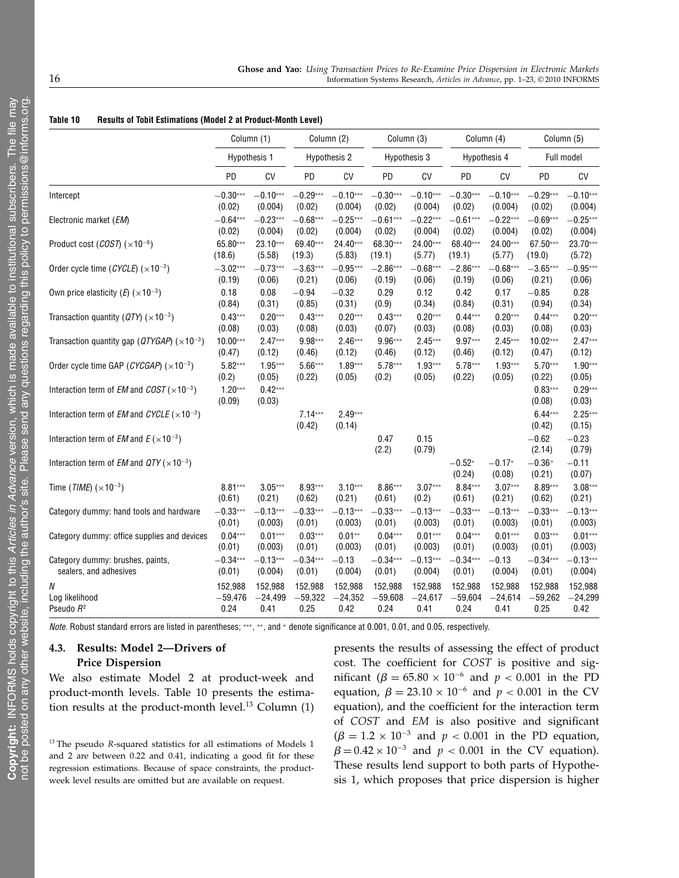|                                                                              | Column (1)                   |                     |                     | Column (2)          | Column (3)    |                |                    | Column (4)         | Column (5)          |                     |
|------------------------------------------------------------------------------|------------------------------|---------------------|---------------------|---------------------|---------------|----------------|--------------------|--------------------|---------------------|---------------------|
|                                                                              | Hypothesis 1<br>Hypothesis 2 |                     | Hypothesis 3        |                     | Hypothesis 4  |                | Full model         |                    |                     |                     |
|                                                                              | PD                           | CV                  | PD                  | CV                  | <b>PD</b>     | CV             | PD                 | CV                 | PD                  | CV                  |
| Intercept                                                                    | $-0.30***$                   | $-0.10***$          | $-0.29***$          | $-0.10***$          | $-0.30***$    | $-0.10***$     | $-0.30***$         | $-0.10***$         | $-0.29***$          | $-0.10***$          |
|                                                                              | (0.02)                       | (0.004)             | (0.02)              | (0.004)             | (0.02)        | (0.004)        | (0.02)             | (0.004)            | (0.02)              | (0.004)             |
| Electronic market (EM)                                                       | $-0.64***$                   | $-0.23***$          | $-0.68***$          | $-0.25***$          | $-0.61***$    | $-0.22***$     | $-0.61***$         | $-0.22***$         | $-0.69***$          | $-0.25***$          |
|                                                                              | (0.02)                       | (0.004)             | (0.02)              | (0.004)             | (0.02)        | (0.004)        | (0.02)             | (0.004)            | (0.02)              | (0.004)             |
| Product cost $(COST)$ ( $\times$ 10 <sup>-6</sup> )                          | 65.80***                     | $23.10***$          | 69.40***            | 24.40***            | 68.30***      | 24.00***       | 68.40***           | 24.00***           | 67.50***            | 23.70***            |
|                                                                              | (18.6)                       | (5.58)              | (19.3)              | (5.83)              | (19.1)        | (5.77)         | (19.1)             | (5.77)             | (19.0)              | (5.72)              |
| Order cycle time (CYCLE) $(\times 10^{-3})$                                  | $-3.02***$                   | $-0.73***$          | $-3.63***$          | $-0.95***$          | $-2.86***$    | $-0.68***$     | $-2.86***$         | $-0.68***$         | $-3.65***$          | $-0.95***$          |
|                                                                              | (0.19)                       | (0.06)              | (0.21)              | (0.06)              | (0.19)        | (0.06)         | (0.19)             | (0.06)             | (0.21)              | (0.06)              |
| Own price elasticity (E) $(x10^{-3})$                                        | 0.18                         | 0.08                | $-0.94$             | $-0.32$             | 0.29          | 0.12           | 0.42               | 0.17               | $-0.85$             | 0.28                |
|                                                                              | (0.84)                       | (0.31)              | (0.85)              | (0.31)              | (0.9)         | (0.34)         | (0.84)             | (0.31)             | (0.94)              | (0.34)              |
| Transaction quantity ( $QTY$ ) ( $\times 10^{-3}$ )                          | $0.43***$                    | $0.20***$           | $0.43***$           | $0.20***$           | $0.43***$     | $0.20***$      | $0.44***$          | $0.20***$          | $0.44***$           | $0.20***$           |
|                                                                              | (0.08)                       | (0.03)              | (0.08)              | (0.03)              | (0.07)        | (0.03)         | (0.08)             | (0.03)             | (0.08)              | (0.03)              |
| Transaction quantity gap ( $QTYGAP$ ) ( $\times$ 10 <sup>-3</sup> )          | $10.00***$                   | $2.47***$           | 9.98***             | $2.46***$           | 9.96***       | $2.45***$      | 9.97***            | $2.45***$          | $10.02***$          | $2.47***$           |
|                                                                              | (0.47)                       | (0.12)              | (0.46)              | (0.12)              | (0.46)        | (0.12)         | (0.46)             | (0.12)             | (0.47)              | (0.12)              |
| Order cycle time GAP ( $CYCGAP$ ) ( $\times$ 10 <sup>-3</sup> )              | $5.82***$                    | $1.95***$           | $5.66***$           | $1.89***$           | $5.78***$     | $1.93***$      | $5.78***$          | $1.93***$          | $5.70***$           | $1.90***$           |
|                                                                              | (0.2)                        | (0.05)              | (0.22)              | (0.05)              | (0.2)         | (0.05)         | (0.22)             | (0.05)             | (0.22)              | (0.05)              |
| Interaction term of <i>EM</i> and <i>COST</i> ( $\times$ 10 <sup>-3</sup> )  | $1.20***$<br>(0.09)          | $0.42***$<br>(0.03) |                     |                     |               |                |                    |                    | $0.83***$<br>(0.08) | $0.29***$<br>(0.03) |
| Interaction term of <i>EM</i> and <i>CYCLE</i> ( $\times$ 10 <sup>-3</sup> ) |                              |                     | $7.14***$<br>(0.42) | $2.49***$<br>(0.14) |               |                |                    |                    | $6.44***$<br>(0.42) | $2.25***$<br>(0.15) |
| Interaction term of <i>EM</i> and $E(x10^{-3})$                              |                              |                     |                     |                     | 0.47<br>(2.2) | 0.15<br>(0.79) |                    |                    | $-0.62$<br>(2.14)   | $-0.23$<br>(0.79)   |
| Interaction term of <i>EM</i> and $QTY$ ( $\times$ 10 <sup>-3</sup> )        |                              |                     |                     |                     |               |                | $-0.52*$<br>(0.24) | $-0.17*$<br>(0.08) | $-0.36+$<br>(0.21)  | $-0.11$<br>(0.07)   |
| Time ( <i>TIME</i> ) ( $\times$ 10 <sup>-3</sup> )                           | $8.81***$                    | $3.05***$           | 8.93***             | $3.10***$           | $8.86***$     | $3.07***$      | $8.84***$          | $3.07***$          | 8.89***             | $3.08***$           |
|                                                                              | (0.61)                       | (0.21)              | (0.62)              | (0.21)              | (0.61)        | (0.2)          | (0.61)             | (0.21)             | (0.62)              | (0.21)              |
| Category dummy: hand tools and hardware                                      | $-0.33***$                   | $-0.13***$          | $-0.33***$          | $-0.13***$          | $-0.33***$    | $-0.13***$     | $-0.33***$         | $-0.13***$         | $-0.33***$          | $-0.13***$          |
|                                                                              | (0.01)                       | (0.003)             | (0.01)              | (0.003)             | (0.01)        | (0.003)        | (0.01)             | (0.003)            | (0.01)              | (0.003)             |
| Category dummy: office supplies and devices                                  | $0.04***$                    | $0.01***$           | $0.03***$           | $0.01**$            | $0.04***$     | $0.01***$      | $0.04***$          | $0.01***$          | $0.03***$           | $0.01***$           |
|                                                                              | (0.01)                       | (0.003)             | (0.01)              | (0.003)             | (0.01)        | (0.003)        | (0.01)             | (0.003)            | (0.01)              | (0.003)             |
| Category dummy: brushes, paints,                                             | $-0.34***$                   | $-0.13***$          | $-0.34***$          | $-0.13$             | $-0.34***$    | $-0.13***$     | $-0.34***$         | $-0.13$            | $-0.34***$          | $-0.13***$          |
| sealers, and adhesives                                                       | (0.01)                       | (0.004)             | (0.01)              | (0.004)             | (0.01)        | (0.004)        | (0.01)             | (0.004)            | (0.01)              | (0.004)             |
| Ν                                                                            | 152,988                      | 152,988             | 152,988             | 152,988             | 152,988       | 152,988        | 152,988            | 152,988            | 152,988             | 152,988             |
| Log likelihood                                                               | $-59,476$                    | $-24,499$           | $-59,322$           | $-24,352$           | $-59,608$     | $-24,617$      | $-59,604$          | $-24,614$          | $-59,262$           | $-24,299$           |
| Pseudo R <sup>2</sup>                                                        | 0.24                         | 0.41                | 0.25                | 0.42                | 0.24          | 0.41           | 0.24               | 0.41               | 0.25                | 0.42                |

Note. Robust standard errors are listed in parentheses; ∗∗∗, ∗∗, and <sup>∗</sup> denote significance at 0.001, 0.01, and 0.05, respectively.

### 4.3. Results: Model 2—Drivers of Price Dispersion

We also estimate Model 2 at product-week and product-month levels. Table 10 presents the estimation results at the product-month level.<sup>13</sup> Column (1)

 $13$  The pseudo R-squared statistics for all estimations of Models 1 and 2 are between 0.22 and 0.41, indicating a good fit for these regression estimations. Because of space constraints, the productweek level results are omitted but are available on request.

presents the results of assessing the effect of product cost. The coefficient for COST is positive and significant (β = 65.80 × 10<sup>-6</sup> and  $p < 0.001$  in the PD equation,  $\beta = 23.10 \times 10^{-6}$  and  $p < 0.001$  in the CV equation), and the coefficient for the interaction term of COST and EM is also positive and significant  $(\beta = 1.2 \times 10^{-3}$  and  $p < 0.001$  in the PD equation,  $\beta = 0.42 \times 10^{-3}$  and  $p < 0.001$  in the CV equation). These results lend support to both parts of Hypothesis 1, which proposes that price dispersion is higher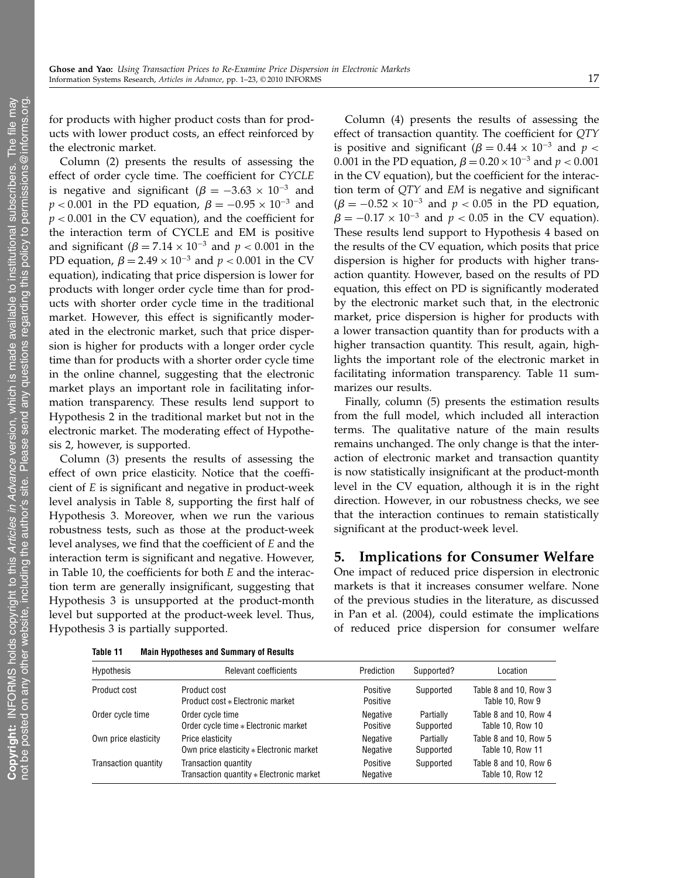for products with higher product costs than for products with lower product costs, an effect reinforced by the electronic market.

Column (2) presents the results of assessing the effect of order cycle time. The coefficient for CYCLE is negative and significant ( $\beta = -3.63 \times 10^{-3}$  and  $p < 0.001$  in the PD equation,  $\beta = -0.95 \times 10^{-3}$  and  $p < 0.001$  in the CV equation), and the coefficient for the interaction term of CYCLE and EM is positive and significant ( $\beta = 7.14 \times 10^{-3}$  and  $p < 0.001$  in the PD equation,  $\beta = 2.49 \times 10^{-3}$  and  $p < 0.001$  in the CV equation), indicating that price dispersion is lower for products with longer order cycle time than for products with shorter order cycle time in the traditional market. However, this effect is significantly moderated in the electronic market, such that price dispersion is higher for products with a longer order cycle time than for products with a shorter order cycle time in the online channel, suggesting that the electronic market plays an important role in facilitating information transparency. These results lend support to Hypothesis 2 in the traditional market but not in the electronic market. The moderating effect of Hypothesis 2, however, is supported.

Column (3) presents the results of assessing the effect of own price elasticity. Notice that the coefficient of E is significant and negative in product-week level analysis in Table 8, supporting the first half of Hypothesis 3. Moreover, when we run the various robustness tests, such as those at the product-week level analyses, we find that the coefficient of E and the interaction term is significant and negative. However, in Table 10, the coefficients for both E and the interaction term are generally insignificant, suggesting that Hypothesis 3 is unsupported at the product-month level but supported at the product-week level. Thus, Hypothesis 3 is partially supported.

Column (4) presents the results of assessing the effect of transaction quantity. The coefficient for QTY is positive and significant ( $\beta = 0.44 \times 10^{-3}$  and p < 0.001 in the PD equation,  $\beta = 0.20 \times 10^{-3}$  and  $p < 0.001$ in the CV equation), but the coefficient for the interaction term of QTY and EM is negative and significant  $(\beta = -0.52 \times 10^{-3}$  and  $p < 0.05$  in the PD equation,  $\beta = -0.17 \times 10^{-3}$  and  $p < 0.05$  in the CV equation). These results lend support to Hypothesis 4 based on the results of the CV equation, which posits that price dispersion is higher for products with higher transaction quantity. However, based on the results of PD equation, this effect on PD is significantly moderated by the electronic market such that, in the electronic market, price dispersion is higher for products with a lower transaction quantity than for products with a higher transaction quantity. This result, again, highlights the important role of the electronic market in facilitating information transparency. Table 11 summarizes our results.

Finally, column (5) presents the estimation results from the full model, which included all interaction terms. The qualitative nature of the main results remains unchanged. The only change is that the interaction of electronic market and transaction quantity is now statistically insignificant at the product-month level in the CV equation, although it is in the right direction. However, in our robustness checks, we see that the interaction continues to remain statistically significant at the product-week level.

### 5. Implications for Consumer Welfare

One impact of reduced price dispersion in electronic markets is that it increases consumer welfare. None of the previous studies in the literature, as discussed in Pan et al. (2004), could estimate the implications of reduced price dispersion for consumer welfare

| Hypothesis           | Relevant coefficients                                            | Prediction           | Supported?             | Location                                  |
|----------------------|------------------------------------------------------------------|----------------------|------------------------|-------------------------------------------|
| Product cost         | Product cost<br>Product cost * Electronic market                 | Positive<br>Positive | Supported              | Table 8 and 10, Row 3<br>Table 10, Row 9  |
| Order cycle time     | Order cycle time<br>Order cycle time * Electronic market         | Negative<br>Positive | Partially<br>Supported | Table 8 and 10, Row 4<br>Table 10, Row 10 |
| Own price elasticity | Price elasticity<br>Own price elasticity * Electronic market     | Negative<br>Negative | Partially<br>Supported | Table 8 and 10, Row 5<br>Table 10, Row 11 |
| Transaction quantity | Transaction quantity<br>Transaction quantity * Electronic market | Positive<br>Negative | Supported              | Table 8 and 10. Row 6<br>Table 10, Row 12 |

Table 11 Main Hypotheses and Summary of Results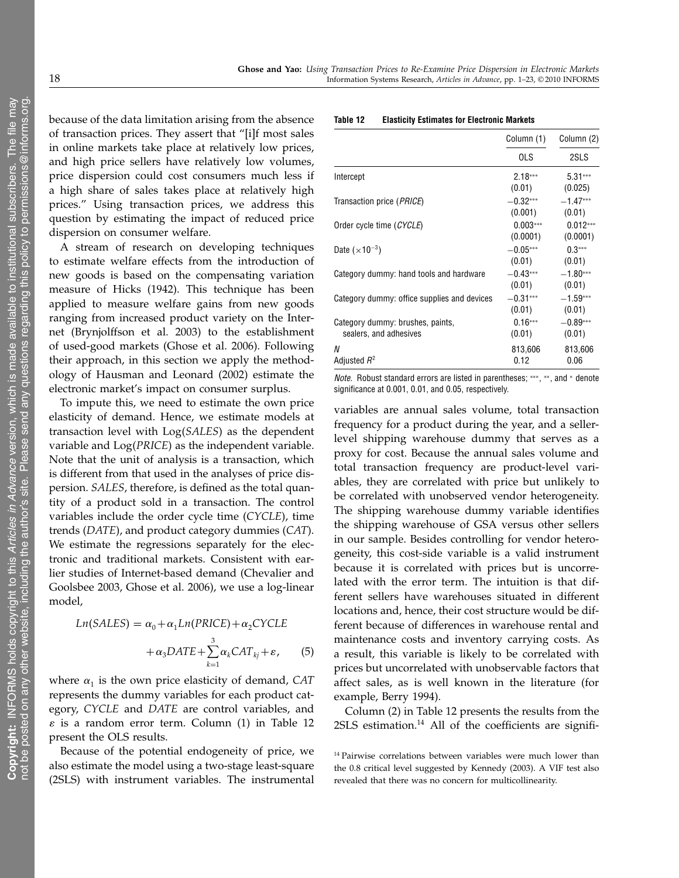because of the data limitation arising from the absence of transaction prices. They assert that "[i]f most sales in online markets take place at relatively low prices, and high price sellers have relatively low volumes, price dispersion could cost consumers much less if a high share of sales takes place at relatively high prices." Using transaction prices, we address this question by estimating the impact of reduced price dispersion on consumer welfare.

A stream of research on developing techniques to estimate welfare effects from the introduction of new goods is based on the compensating variation measure of Hicks (1942). This technique has been applied to measure welfare gains from new goods ranging from increased product variety on the Internet (Brynjolffson et al. 2003) to the establishment of used-good markets (Ghose et al. 2006). Following their approach, in this section we apply the methodology of Hausman and Leonard (2002) estimate the electronic market's impact on consumer surplus.

To impute this, we need to estimate the own price elasticity of demand. Hence, we estimate models at transaction level with Log(SALES) as the dependent variable and  $Log(PRICE)$  as the independent variable. Note that the unit of analysis is a transaction, which is different from that used in the analyses of price dispersion. SALES, therefore, is defined as the total quantity of a product sold in a transaction. The control variables include the order cycle time (CYCLE), time trends (DATE), and product category dummies (CAT). We estimate the regressions separately for the electronic and traditional markets. Consistent with earlier studies of Internet-based demand (Chevalier and Goolsbee 2003, Ghose et al. 2006), we use a log-linear model,

$$
Ln(SALES) = \alpha_0 + \alpha_1 Ln(PRICE) + \alpha_2 CYCLE
$$
  
+  $\alpha_3 DATE + \sum_{k=1}^{3} \alpha_k CAT_{kj} + \varepsilon,$  (5)

where  $\alpha_1$  is the own price elasticity of demand, CAT represents the dummy variables for each product category, CYCLE and DATE are control variables, and  $\varepsilon$  is a random error term. Column (1) in Table 12 present the OLS results.

Because of the potential endogeneity of price, we also estimate the model using a two-stage least-square (2SLS) with instrument variables. The instrumental

#### Table 12 Elasticity Estimates for Electronic Markets

|                                                            | Column (1)             | Column (2)<br>2SLS     |  |
|------------------------------------------------------------|------------------------|------------------------|--|
|                                                            | OLS                    |                        |  |
| Intercept                                                  | $2.18***$<br>(0.01)    | $5.31***$<br>(0.025)   |  |
| Transaction price ( <i>PRICE</i> )                         | $-0.32***$<br>(0.001)  | $-1.47***$<br>(0.01)   |  |
| Order cycle time (CYCLE)                                   | $0.003***$<br>(0.0001) | $0.012***$<br>(0.0001) |  |
| Date $(\times 10^{-3})$                                    | $-0.05***$<br>(0.01)   | $0.3***$<br>(0.01)     |  |
| Category dummy: hand tools and hardware                    | $-0.43***$<br>(0.01)   | $-1.80***$<br>(0.01)   |  |
| Category dummy: office supplies and devices                | $-0.31***$<br>(0.01)   | $-1.59***$<br>(0.01)   |  |
| Category dummy: brushes, paints,<br>sealers, and adhesives | $0.16***$<br>(0.01)    | $-0.89***$<br>(0.01)   |  |
| N<br>Adjusted $R^2$                                        | 813,606<br>0.12        | 813,606<br>0.06        |  |

Note. Robust standard errors are listed in parentheses; ∗∗∗, ∗∗, and <sup>∗</sup> denote significance at 0.001, 0.01, and 0.05, respectively.

variables are annual sales volume, total transaction frequency for a product during the year, and a sellerlevel shipping warehouse dummy that serves as a proxy for cost. Because the annual sales volume and total transaction frequency are product-level variables, they are correlated with price but unlikely to be correlated with unobserved vendor heterogeneity. The shipping warehouse dummy variable identifies the shipping warehouse of GSA versus other sellers in our sample. Besides controlling for vendor heterogeneity, this cost-side variable is a valid instrument because it is correlated with prices but is uncorrelated with the error term. The intuition is that different sellers have warehouses situated in different locations and, hence, their cost structure would be different because of differences in warehouse rental and maintenance costs and inventory carrying costs. As a result, this variable is likely to be correlated with prices but uncorrelated with unobservable factors that affect sales, as is well known in the literature (for example, Berry 1994).

Column (2) in Table 12 presents the results from the  $2SLS$  estimation.<sup>14</sup> All of the coefficients are signifi-

<sup>&</sup>lt;sup>14</sup> Pairwise correlations between variables were much lower than the 0.8 critical level suggested by Kennedy (2003). A VIF test also revealed that there was no concern for multicollinearity.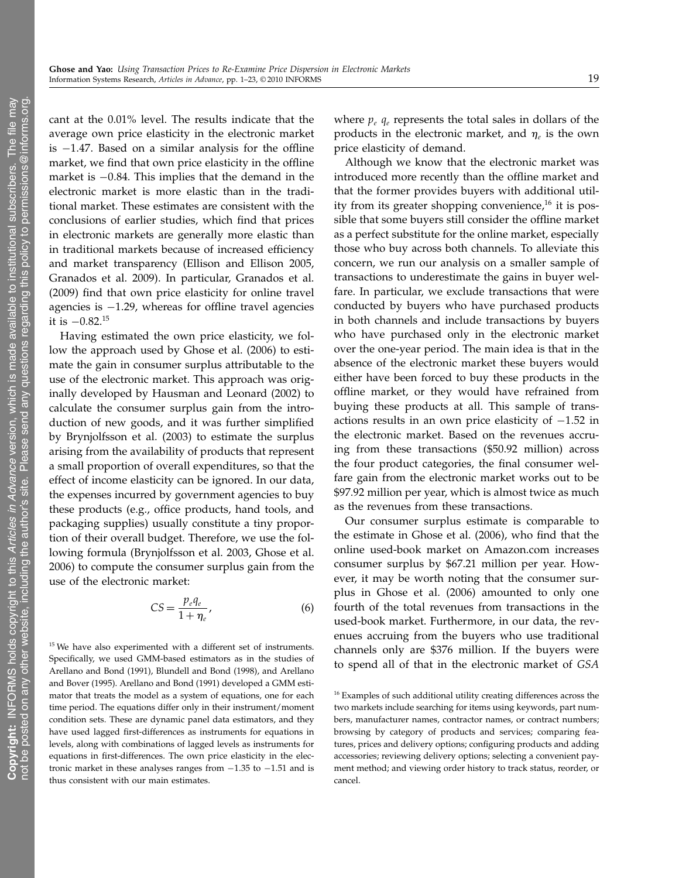cant at the 0.01% level. The results indicate that the average own price elasticity in the electronic market is  $-1.47$ . Based on a similar analysis for the offline market, we find that own price elasticity in the offline market is −084. This implies that the demand in the electronic market is more elastic than in the traditional market. These estimates are consistent with the conclusions of earlier studies, which find that prices in electronic markets are generally more elastic than in traditional markets because of increased efficiency and market transparency (Ellison and Ellison 2005, Granados et al. 2009). In particular, Granados et al. (2009) find that own price elasticity for online travel agencies is −129, whereas for offline travel agencies it is  $-0.82$ .<sup>15</sup>

Having estimated the own price elasticity, we follow the approach used by Ghose et al. (2006) to estimate the gain in consumer surplus attributable to the use of the electronic market. This approach was originally developed by Hausman and Leonard (2002) to calculate the consumer surplus gain from the introduction of new goods, and it was further simplified by Brynjolfsson et al. (2003) to estimate the surplus arising from the availability of products that represent a small proportion of overall expenditures, so that the effect of income elasticity can be ignored. In our data, the expenses incurred by government agencies to buy these products (e.g., office products, hand tools, and packaging supplies) usually constitute a tiny proportion of their overall budget. Therefore, we use the following formula (Brynjolfsson et al. 2003, Ghose et al. 2006) to compute the consumer surplus gain from the use of the electronic market:

$$
CS = \frac{p_e q_e}{1 + \eta_e},\tag{6}
$$

<sup>15</sup> We have also experimented with a different set of instruments. Specifically, we used GMM-based estimators as in the studies of Arellano and Bond (1991), Blundell and Bond (1998), and Arellano and Bover (1995). Arellano and Bond (1991) developed a GMM estimator that treats the model as a system of equations, one for each time period. The equations differ only in their instrument/moment condition sets. These are dynamic panel data estimators, and they have used lagged first-differences as instruments for equations in levels, along with combinations of lagged levels as instruments for equations in first-differences. The own price elasticity in the electronic market in these analyses ranges from −135 to −151 and is thus consistent with our main estimates.

where  $p_e q_e$  represents the total sales in dollars of the products in the electronic market, and  $\eta_e$  is the own price elasticity of demand.

Although we know that the electronic market was introduced more recently than the offline market and that the former provides buyers with additional utility from its greater shopping convenience,<sup>16</sup> it is possible that some buyers still consider the offline market as a perfect substitute for the online market, especially those who buy across both channels. To alleviate this concern, we run our analysis on a smaller sample of transactions to underestimate the gains in buyer welfare. In particular, we exclude transactions that were conducted by buyers who have purchased products in both channels and include transactions by buyers who have purchased only in the electronic market over the one-year period. The main idea is that in the absence of the electronic market these buyers would either have been forced to buy these products in the offline market, or they would have refrained from buying these products at all. This sample of transactions results in an own price elasticity of −152 in the electronic market. Based on the revenues accruing from these transactions (\$50.92 million) across the four product categories, the final consumer welfare gain from the electronic market works out to be \$97.92 million per year, which is almost twice as much as the revenues from these transactions.

Our consumer surplus estimate is comparable to the estimate in Ghose et al. (2006), who find that the online used-book market on Amazon.com increases consumer surplus by \$67.21 million per year. However, it may be worth noting that the consumer surplus in Ghose et al. (2006) amounted to only one fourth of the total revenues from transactions in the used-book market. Furthermore, in our data, the revenues accruing from the buyers who use traditional channels only are \$376 million. If the buyers were to spend all of that in the electronic market of GSA

<sup>&</sup>lt;sup>16</sup> Examples of such additional utility creating differences across the two markets include searching for items using keywords, part numbers, manufacturer names, contractor names, or contract numbers; browsing by category of products and services; comparing features, prices and delivery options; configuring products and adding accessories; reviewing delivery options; selecting a convenient payment method; and viewing order history to track status, reorder, or cancel.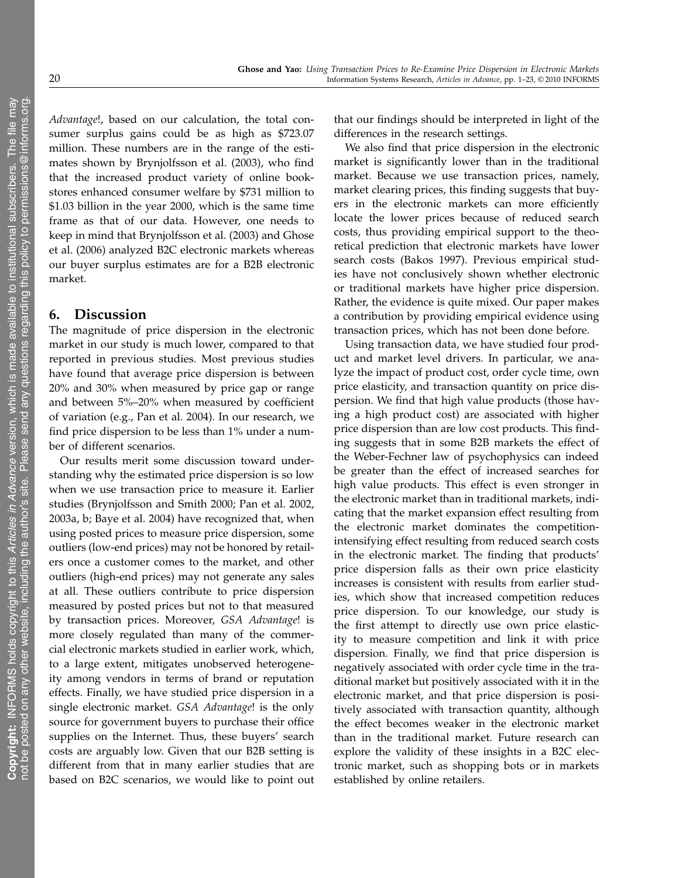Advantage!, based on our calculation, the total consumer surplus gains could be as high as \$723.07 million. These numbers are in the range of the estimates shown by Brynjolfsson et al. (2003), who find that the increased product variety of online bookstores enhanced consumer welfare by \$731 million to \$1.03 billion in the year 2000, which is the same time frame as that of our data. However, one needs to keep in mind that Brynjolfsson et al. (2003) and Ghose et al. (2006) analyzed B2C electronic markets whereas our buyer surplus estimates are for a B2B electronic market.

# 6. Discussion

The magnitude of price dispersion in the electronic market in our study is much lower, compared to that reported in previous studies. Most previous studies have found that average price dispersion is between 20% and 30% when measured by price gap or range and between 5%–20% when measured by coefficient of variation (e.g., Pan et al. 2004). In our research, we find price dispersion to be less than 1% under a number of different scenarios.

Our results merit some discussion toward understanding why the estimated price dispersion is so low when we use transaction price to measure it. Earlier studies (Brynjolfsson and Smith 2000; Pan et al. 2002, 2003a, b; Baye et al. 2004) have recognized that, when using posted prices to measure price dispersion, some outliers (low-end prices) may not be honored by retailers once a customer comes to the market, and other outliers (high-end prices) may not generate any sales at all. These outliers contribute to price dispersion measured by posted prices but not to that measured by transaction prices. Moreover, GSA Advantage! is more closely regulated than many of the commercial electronic markets studied in earlier work, which, to a large extent, mitigates unobserved heterogeneity among vendors in terms of brand or reputation effects. Finally, we have studied price dispersion in a single electronic market. GSA Advantage! is the only source for government buyers to purchase their office supplies on the Internet. Thus, these buyers' search costs are arguably low. Given that our B2B setting is different from that in many earlier studies that are based on B2C scenarios, we would like to point out that our findings should be interpreted in light of the differences in the research settings.

We also find that price dispersion in the electronic market is significantly lower than in the traditional market. Because we use transaction prices, namely, market clearing prices, this finding suggests that buyers in the electronic markets can more efficiently locate the lower prices because of reduced search costs, thus providing empirical support to the theoretical prediction that electronic markets have lower search costs (Bakos 1997). Previous empirical studies have not conclusively shown whether electronic or traditional markets have higher price dispersion. Rather, the evidence is quite mixed. Our paper makes a contribution by providing empirical evidence using transaction prices, which has not been done before.

Using transaction data, we have studied four product and market level drivers. In particular, we analyze the impact of product cost, order cycle time, own price elasticity, and transaction quantity on price dispersion. We find that high value products (those having a high product cost) are associated with higher price dispersion than are low cost products. This finding suggests that in some B2B markets the effect of the Weber-Fechner law of psychophysics can indeed be greater than the effect of increased searches for high value products. This effect is even stronger in the electronic market than in traditional markets, indicating that the market expansion effect resulting from the electronic market dominates the competitionintensifying effect resulting from reduced search costs in the electronic market. The finding that products' price dispersion falls as their own price elasticity increases is consistent with results from earlier studies, which show that increased competition reduces price dispersion. To our knowledge, our study is the first attempt to directly use own price elasticity to measure competition and link it with price dispersion. Finally, we find that price dispersion is negatively associated with order cycle time in the traditional market but positively associated with it in the electronic market, and that price dispersion is positively associated with transaction quantity, although the effect becomes weaker in the electronic market than in the traditional market. Future research can explore the validity of these insights in a B2C electronic market, such as shopping bots or in markets established by online retailers.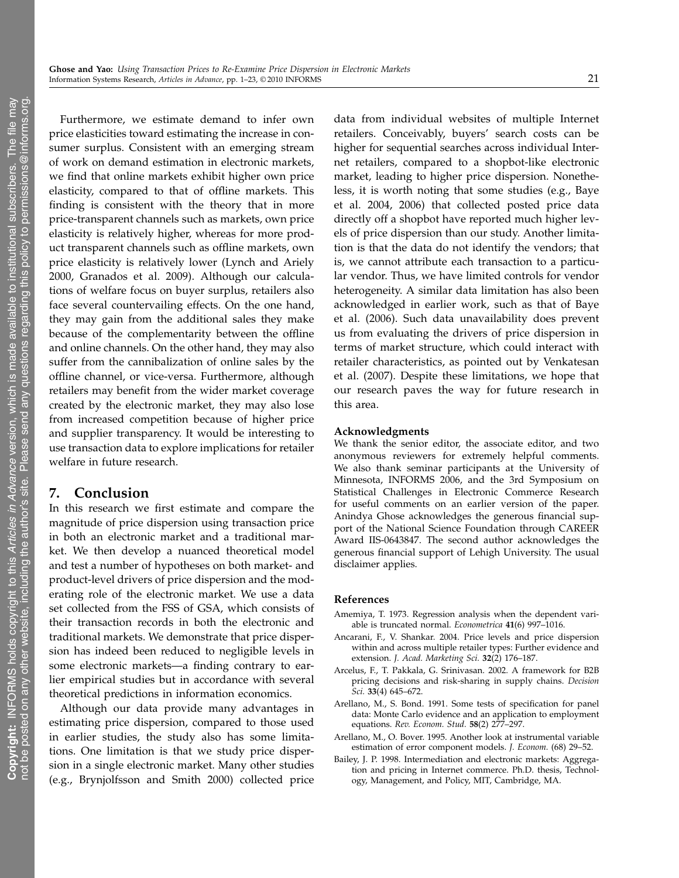Furthermore, we estimate demand to infer own price elasticities toward estimating the increase in consumer surplus. Consistent with an emerging stream of work on demand estimation in electronic markets, we find that online markets exhibit higher own price elasticity, compared to that of offline markets. This finding is consistent with the theory that in more price-transparent channels such as markets, own price elasticity is relatively higher, whereas for more product transparent channels such as offline markets, own price elasticity is relatively lower (Lynch and Ariely 2000, Granados et al. 2009). Although our calculations of welfare focus on buyer surplus, retailers also face several countervailing effects. On the one hand, they may gain from the additional sales they make because of the complementarity between the offline and online channels. On the other hand, they may also suffer from the cannibalization of online sales by the offline channel, or vice-versa. Furthermore, although retailers may benefit from the wider market coverage created by the electronic market, they may also lose from increased competition because of higher price and supplier transparency. It would be interesting to use transaction data to explore implications for retailer welfare in future research.

# 7. Conclusion

In this research we first estimate and compare the magnitude of price dispersion using transaction price in both an electronic market and a traditional market. We then develop a nuanced theoretical model and test a number of hypotheses on both market- and product-level drivers of price dispersion and the moderating role of the electronic market. We use a data set collected from the FSS of GSA, which consists of their transaction records in both the electronic and traditional markets. We demonstrate that price dispersion has indeed been reduced to negligible levels in some electronic markets—a finding contrary to earlier empirical studies but in accordance with several theoretical predictions in information economics.

Although our data provide many advantages in estimating price dispersion, compared to those used in earlier studies, the study also has some limitations. One limitation is that we study price dispersion in a single electronic market. Many other studies (e.g., Brynjolfsson and Smith 2000) collected price

data from individual websites of multiple Internet retailers. Conceivably, buyers' search costs can be higher for sequential searches across individual Internet retailers, compared to a shopbot-like electronic market, leading to higher price dispersion. Nonetheless, it is worth noting that some studies (e.g., Baye et al. 2004, 2006) that collected posted price data directly off a shopbot have reported much higher levels of price dispersion than our study. Another limitation is that the data do not identify the vendors; that is, we cannot attribute each transaction to a particular vendor. Thus, we have limited controls for vendor heterogeneity. A similar data limitation has also been acknowledged in earlier work, such as that of Baye et al. (2006). Such data unavailability does prevent us from evaluating the drivers of price dispersion in terms of market structure, which could interact with retailer characteristics, as pointed out by Venkatesan et al. (2007). Despite these limitations, we hope that our research paves the way for future research in this area.

#### Acknowledgments

We thank the senior editor, the associate editor, and two anonymous reviewers for extremely helpful comments. We also thank seminar participants at the University of Minnesota, INFORMS 2006, and the 3rd Symposium on Statistical Challenges in Electronic Commerce Research for useful comments on an earlier version of the paper. Anindya Ghose acknowledges the generous financial support of the National Science Foundation through CAREER Award IIS-0643847. The second author acknowledges the generous financial support of Lehigh University. The usual disclaimer applies.

#### References

- Amemiya, T. 1973. Regression analysis when the dependent variable is truncated normal. Econometrica 41(6) 997–1016.
- Ancarani, F., V. Shankar. 2004. Price levels and price dispersion within and across multiple retailer types: Further evidence and extension. J. Acad. Marketing Sci. 32(2) 176–187.
- Arcelus, F., T. Pakkala, G. Srinivasan. 2002. A framework for B2B pricing decisions and risk-sharing in supply chains. Decision Sci. 33(4) 645–672.
- Arellano, M., S. Bond. 1991. Some tests of specification for panel data: Monte Carlo evidence and an application to employment equations. Rev. Econom. Stud. 58(2) 277–297.
- Arellano, M., O. Bover. 1995. Another look at instrumental variable estimation of error component models. J. Econom. (68) 29–52.
- Bailey, J. P. 1998. Intermediation and electronic markets: Aggregation and pricing in Internet commerce. Ph.D. thesis, Technology, Management, and Policy, MIT, Cambridge, MA.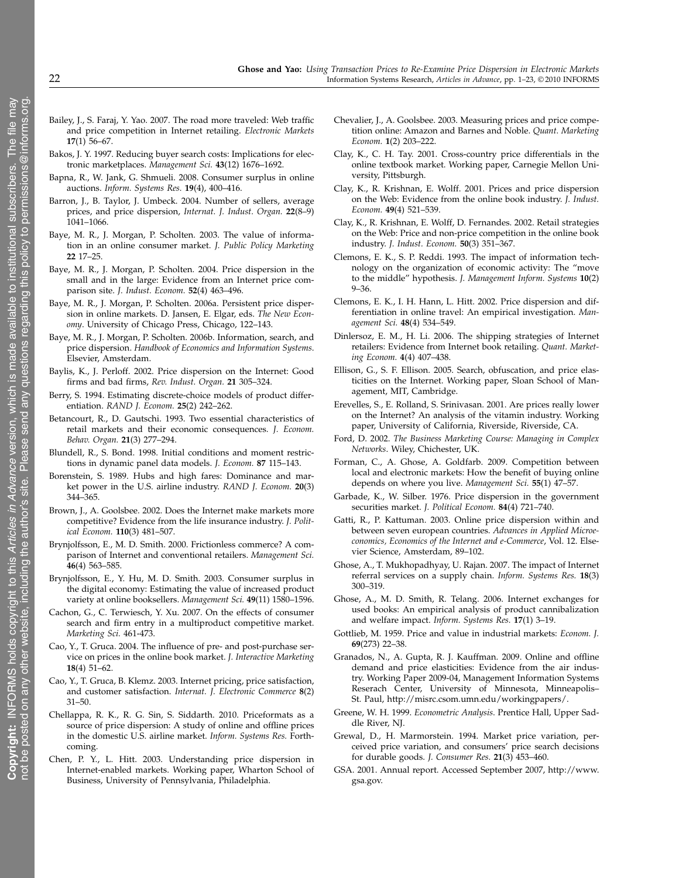- Bailey, J., S. Faraj, Y. Yao. 2007. The road more traveled: Web traffic and price competition in Internet retailing. Electronic Markets 17(1) 56–67.
- Bakos, J. Y. 1997. Reducing buyer search costs: Implications for electronic marketplaces. Management Sci. 43(12) 1676–1692.
- Bapna, R., W. Jank, G. Shmueli. 2008. Consumer surplus in online auctions. Inform. Systems Res. 19(4), 400–416.
- Barron, J., B. Taylor, J. Umbeck. 2004. Number of sellers, average prices, and price dispersion, Internat. J. Indust. Organ. 22(8–9) 1041–1066.
- Baye, M. R., J. Morgan, P. Scholten. 2003. The value of information in an online consumer market. J. Public Policy Marketing 22 17–25.
- Baye, M. R., J. Morgan, P. Scholten. 2004. Price dispersion in the small and in the large: Evidence from an Internet price comparison site. J. Indust. Econom. 52(4) 463–496.
- Baye, M. R., J. Morgan, P. Scholten. 2006a. Persistent price dispersion in online markets. D. Jansen, E. Elgar, eds. The New Economy. University of Chicago Press, Chicago, 122–143.
- Baye, M. R., J. Morgan, P. Scholten. 2006b. Information, search, and price dispersion. Handbook of Economics and Information Systems. Elsevier, Amsterdam.
- Baylis, K., J. Perloff. 2002. Price dispersion on the Internet: Good firms and bad firms, Rev. Indust. Organ. 21 305–324.
- Berry, S. 1994. Estimating discrete-choice models of product differentiation. RAND J. Econom. 25(2) 242–262.
- Betancourt, R., D. Gautschi. 1993. Two essential characteristics of retail markets and their economic consequences. J. Econom. Behav. Organ. 21(3) 277–294.
- Blundell, R., S. Bond. 1998. Initial conditions and moment restrictions in dynamic panel data models. J. Econom. 87 115–143.
- Borenstein, S. 1989. Hubs and high fares: Dominance and market power in the U.S. airline industry. RAND J. Econom. 20(3) 344–365.
- Brown, J., A. Goolsbee. 2002. Does the Internet make markets more competitive? Evidence from the life insurance industry. J. Political Econom. 110(3) 481–507.
- Brynjolfsson, E., M. D. Smith. 2000. Frictionless commerce? A comparison of Internet and conventional retailers. Management Sci. 46(4) 563–585.
- Brynjolfsson, E., Y. Hu, M. D. Smith. 2003. Consumer surplus in the digital economy: Estimating the value of increased product variety at online booksellers. Management Sci. 49(11) 1580–1596.
- Cachon, G., C. Terwiesch, Y. Xu. 2007. On the effects of consumer search and firm entry in a multiproduct competitive market. Marketing Sci. 461-473.
- Cao, Y., T. Gruca. 2004. The influence of pre- and post-purchase service on prices in the online book market. J. Interactive Marketing 18(4) 51–62.
- Cao, Y., T. Gruca, B. Klemz. 2003. Internet pricing, price satisfaction, and customer satisfaction. Internat. J. Electronic Commerce 8(2) 31–50.
- Chellappa, R. K., R. G. Sin, S. Siddarth. 2010. Priceformats as a source of price dispersion: A study of online and offline prices in the domestic U.S. airline market. Inform. Systems Res. Forthcoming.
- Chen, P. Y., L. Hitt. 2003. Understanding price dispersion in Internet-enabled markets. Working paper, Wharton School of Business, University of Pennsylvania, Philadelphia.
- Chevalier, J., A. Goolsbee. 2003. Measuring prices and price competition online: Amazon and Barnes and Noble. Quant. Marketing Econom. 1(2) 203–222.
- Clay, K., C. H. Tay. 2001. Cross-country price differentials in the online textbook market. Working paper, Carnegie Mellon University, Pittsburgh.
- Clay, K., R. Krishnan, E. Wolff. 2001. Prices and price dispersion on the Web: Evidence from the online book industry. J. Indust. Econom. 49(4) 521–539.
- Clay, K., R. Krishnan, E. Wolff, D. Fernandes. 2002. Retail strategies on the Web: Price and non-price competition in the online book industry. J. Indust. Econom. 50(3) 351–367.
- Clemons, E. K., S. P. Reddi. 1993. The impact of information technology on the organization of economic activity: The "move to the middle" hypothesis. J. Management Inform. Systems 10(2) 9–36.
- Clemons, E. K., I. H. Hann, L. Hitt. 2002. Price dispersion and differentiation in online travel: An empirical investigation. Management Sci. 48(4) 534–549.
- Dinlersoz, E. M., H. Li. 2006. The shipping strategies of Internet retailers: Evidence from Internet book retailing. Quant. Marketing Econom. 4(4) 407–438.
- Ellison, G., S. F. Ellison. 2005. Search, obfuscation, and price elasticities on the Internet. Working paper, Sloan School of Management, MIT, Cambridge.
- Erevelles, S., E. Rolland, S. Srinivasan. 2001. Are prices really lower on the Internet? An analysis of the vitamin industry. Working paper, University of California, Riverside, Riverside, CA.
- Ford, D. 2002. The Business Marketing Course: Managing in Complex Networks. Wiley, Chichester, UK.
- Forman, C., A. Ghose, A. Goldfarb. 2009. Competition between local and electronic markets: How the benefit of buying online depends on where you live. Management Sci. 55(1) 47–57.
- Garbade, K., W. Silber. 1976. Price dispersion in the government securities market. J. Political Econom. 84(4) 721-740.
- Gatti, R., P. Kattuman. 2003. Online price dispersion within and between seven european countries. Advances in Applied Microeconomics, Economics of the Internet and e-Commerce, Vol. 12. Elsevier Science, Amsterdam, 89–102.
- Ghose, A., T. Mukhopadhyay, U. Rajan. 2007. The impact of Internet referral services on a supply chain. Inform. Systems Res. 18(3) 300–319.
- Ghose, A., M. D. Smith, R. Telang. 2006. Internet exchanges for used books: An empirical analysis of product cannibalization and welfare impact. Inform. Systems Res. 17(1) 3–19.
- Gottlieb, M. 1959. Price and value in industrial markets: Econom. J. 69(273) 22–38.
- Granados, N., A. Gupta, R. J. Kauffman. 2009. Online and offline demand and price elasticities: Evidence from the air industry. Working Paper 2009-04, Management Information Systems Reserach Center, University of Minnesota, Minneapolis– St. Paul, http://misrc.csom.umn.edu/workingpapers/.
- Greene, W. H. 1999. Econometric Analysis. Prentice Hall, Upper Saddle River, NJ.
- Grewal, D., H. Marmorstein. 1994. Market price variation, perceived price variation, and consumers' price search decisions for durable goods. J. Consumer Res. 21(3) 453–460.
- GSA. 2001. Annual report. Accessed September 2007, http://www. gsa.gov.

 $\geq$